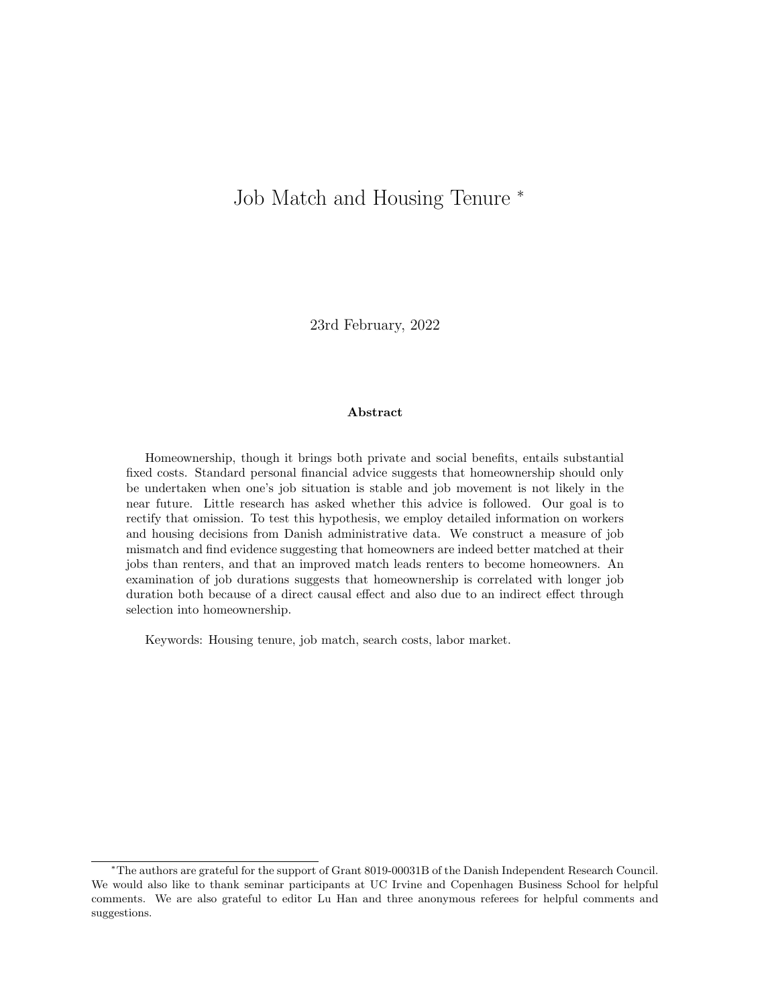# Job Match and Housing Tenure <sup>∗</sup>

23rd February, 2022

#### Abstract

Homeownership, though it brings both private and social benefits, entails substantial fixed costs. Standard personal financial advice suggests that homeownership should only be undertaken when one's job situation is stable and job movement is not likely in the near future. Little research has asked whether this advice is followed. Our goal is to rectify that omission. To test this hypothesis, we employ detailed information on workers and housing decisions from Danish administrative data. We construct a measure of job mismatch and find evidence suggesting that homeowners are indeed better matched at their jobs than renters, and that an improved match leads renters to become homeowners. An examination of job durations suggests that homeownership is correlated with longer job duration both because of a direct causal effect and also due to an indirect effect through selection into homeownership.

Keywords: Housing tenure, job match, search costs, labor market.

<sup>∗</sup>The authors are grateful for the support of Grant 8019-00031B of the Danish Independent Research Council. We would also like to thank seminar participants at UC Irvine and Copenhagen Business School for helpful comments. We are also grateful to editor Lu Han and three anonymous referees for helpful comments and suggestions.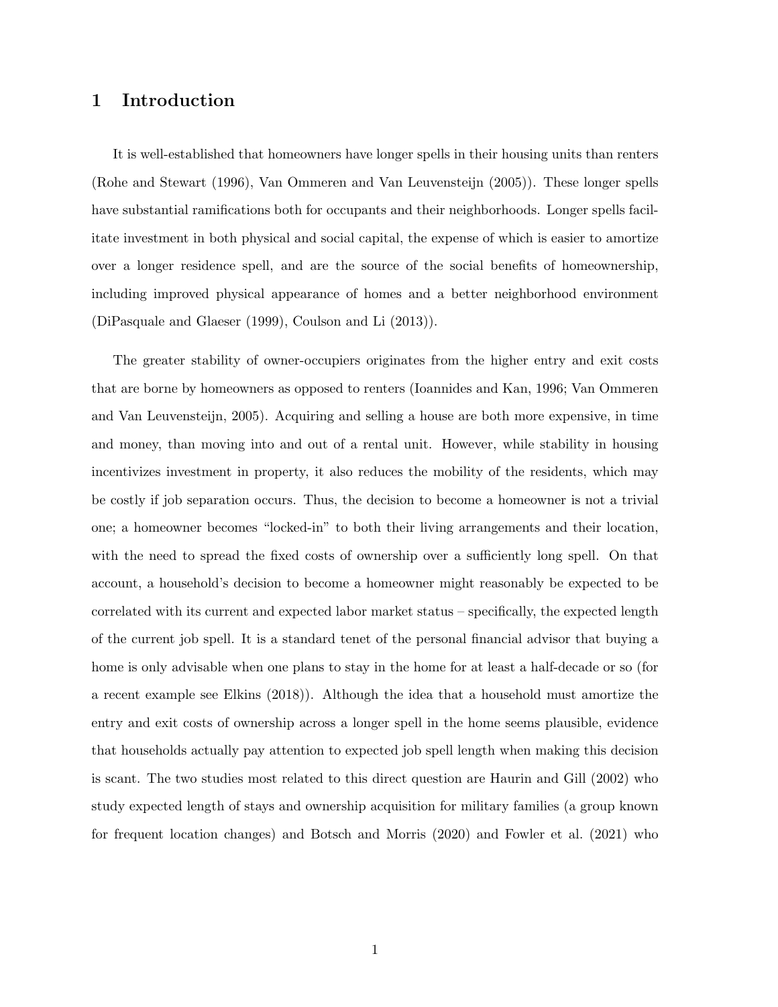### 1 Introduction

It is well-established that homeowners have longer spells in their housing units than renters (Rohe and Stewart (1996), Van Ommeren and Van Leuvensteijn (2005)). These longer spells have substantial ramifications both for occupants and their neighborhoods. Longer spells facilitate investment in both physical and social capital, the expense of which is easier to amortize over a longer residence spell, and are the source of the social benefits of homeownership, including improved physical appearance of homes and a better neighborhood environment (DiPasquale and Glaeser (1999), Coulson and Li (2013)).

The greater stability of owner-occupiers originates from the higher entry and exit costs that are borne by homeowners as opposed to renters (Ioannides and Kan, 1996; Van Ommeren and Van Leuvensteijn, 2005). Acquiring and selling a house are both more expensive, in time and money, than moving into and out of a rental unit. However, while stability in housing incentivizes investment in property, it also reduces the mobility of the residents, which may be costly if job separation occurs. Thus, the decision to become a homeowner is not a trivial one; a homeowner becomes "locked-in" to both their living arrangements and their location, with the need to spread the fixed costs of ownership over a sufficiently long spell. On that account, a household's decision to become a homeowner might reasonably be expected to be correlated with its current and expected labor market status – specifically, the expected length of the current job spell. It is a standard tenet of the personal financial advisor that buying a home is only advisable when one plans to stay in the home for at least a half-decade or so (for a recent example see Elkins (2018)). Although the idea that a household must amortize the entry and exit costs of ownership across a longer spell in the home seems plausible, evidence that households actually pay attention to expected job spell length when making this decision is scant. The two studies most related to this direct question are Haurin and Gill (2002) who study expected length of stays and ownership acquisition for military families (a group known for frequent location changes) and Botsch and Morris (2020) and Fowler et al. (2021) who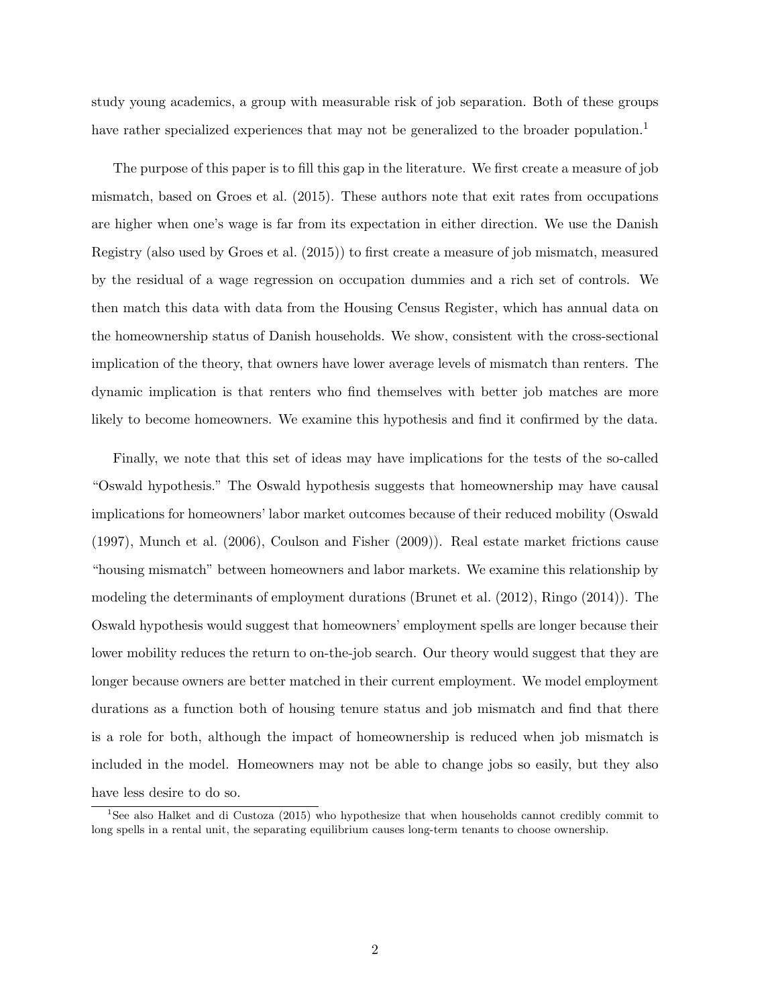study young academics, a group with measurable risk of job separation. Both of these groups have rather specialized experiences that may not be generalized to the broader population.<sup>1</sup>

The purpose of this paper is to fill this gap in the literature. We first create a measure of job mismatch, based on Groes et al. (2015). These authors note that exit rates from occupations are higher when one's wage is far from its expectation in either direction. We use the Danish Registry (also used by Groes et al. (2015)) to first create a measure of job mismatch, measured by the residual of a wage regression on occupation dummies and a rich set of controls. We then match this data with data from the Housing Census Register, which has annual data on the homeownership status of Danish households. We show, consistent with the cross-sectional implication of the theory, that owners have lower average levels of mismatch than renters. The dynamic implication is that renters who find themselves with better job matches are more likely to become homeowners. We examine this hypothesis and find it confirmed by the data.

Finally, we note that this set of ideas may have implications for the tests of the so-called "Oswald hypothesis." The Oswald hypothesis suggests that homeownership may have causal implications for homeowners' labor market outcomes because of their reduced mobility (Oswald (1997), Munch et al. (2006), Coulson and Fisher (2009)). Real estate market frictions cause "housing mismatch" between homeowners and labor markets. We examine this relationship by modeling the determinants of employment durations (Brunet et al. (2012), Ringo (2014)). The Oswald hypothesis would suggest that homeowners' employment spells are longer because their lower mobility reduces the return to on-the-job search. Our theory would suggest that they are longer because owners are better matched in their current employment. We model employment durations as a function both of housing tenure status and job mismatch and find that there is a role for both, although the impact of homeownership is reduced when job mismatch is included in the model. Homeowners may not be able to change jobs so easily, but they also have less desire to do so.

<sup>&</sup>lt;sup>1</sup>See also Halket and di Custoza (2015) who hypothesize that when households cannot credibly commit to long spells in a rental unit, the separating equilibrium causes long-term tenants to choose ownership.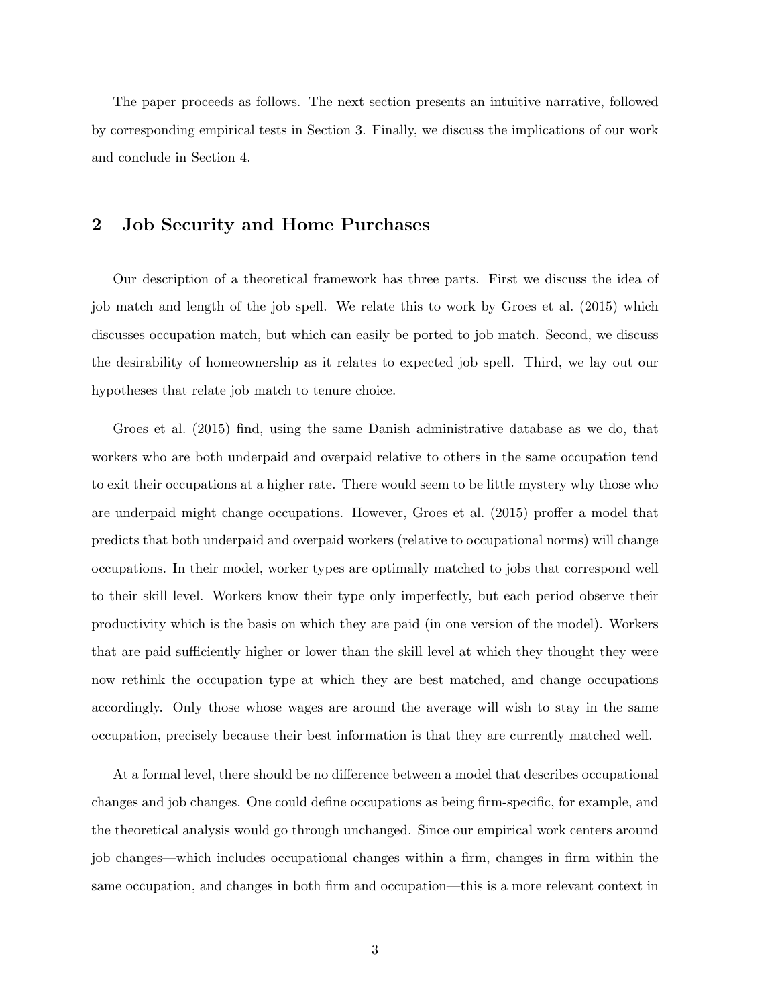The paper proceeds as follows. The next section presents an intuitive narrative, followed by corresponding empirical tests in Section 3. Finally, we discuss the implications of our work and conclude in Section 4.

### 2 Job Security and Home Purchases

Our description of a theoretical framework has three parts. First we discuss the idea of job match and length of the job spell. We relate this to work by Groes et al. (2015) which discusses occupation match, but which can easily be ported to job match. Second, we discuss the desirability of homeownership as it relates to expected job spell. Third, we lay out our hypotheses that relate job match to tenure choice.

Groes et al. (2015) find, using the same Danish administrative database as we do, that workers who are both underpaid and overpaid relative to others in the same occupation tend to exit their occupations at a higher rate. There would seem to be little mystery why those who are underpaid might change occupations. However, Groes et al. (2015) proffer a model that predicts that both underpaid and overpaid workers (relative to occupational norms) will change occupations. In their model, worker types are optimally matched to jobs that correspond well to their skill level. Workers know their type only imperfectly, but each period observe their productivity which is the basis on which they are paid (in one version of the model). Workers that are paid sufficiently higher or lower than the skill level at which they thought they were now rethink the occupation type at which they are best matched, and change occupations accordingly. Only those whose wages are around the average will wish to stay in the same occupation, precisely because their best information is that they are currently matched well.

At a formal level, there should be no difference between a model that describes occupational changes and job changes. One could define occupations as being firm-specific, for example, and the theoretical analysis would go through unchanged. Since our empirical work centers around job changes—which includes occupational changes within a firm, changes in firm within the same occupation, and changes in both firm and occupation—this is a more relevant context in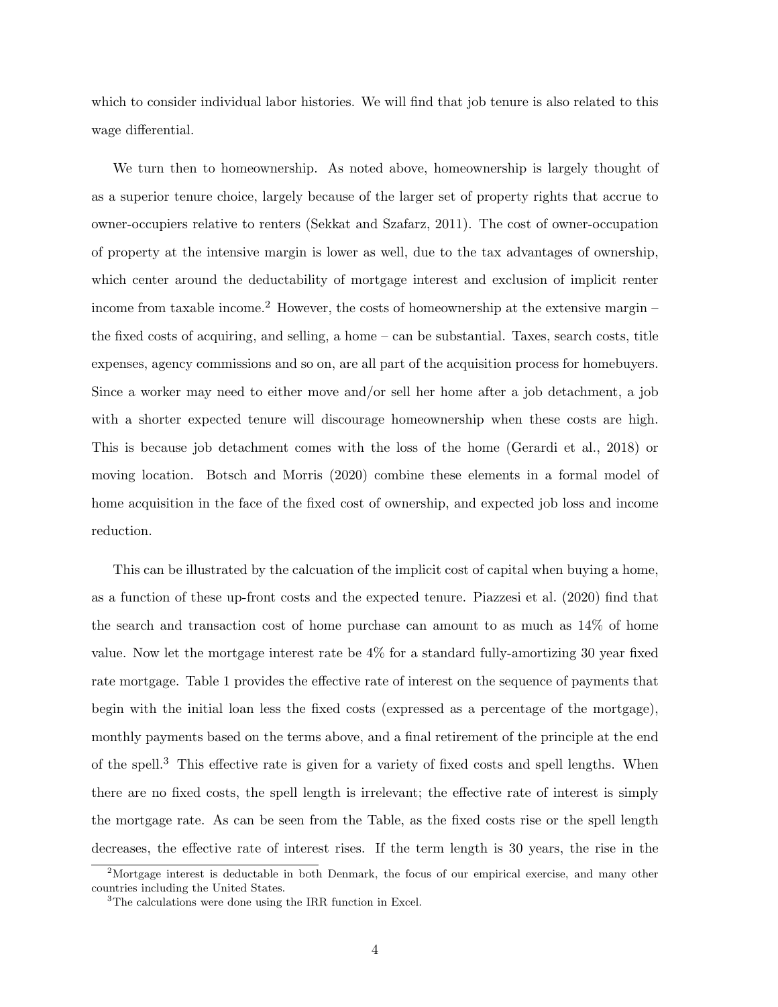which to consider individual labor histories. We will find that job tenure is also related to this wage differential.

We turn then to homeownership. As noted above, homeownership is largely thought of as a superior tenure choice, largely because of the larger set of property rights that accrue to owner-occupiers relative to renters (Sekkat and Szafarz, 2011). The cost of owner-occupation of property at the intensive margin is lower as well, due to the tax advantages of ownership, which center around the deductability of mortgage interest and exclusion of implicit renter income from taxable income.<sup>2</sup> However, the costs of homeownership at the extensive margin – the fixed costs of acquiring, and selling, a home – can be substantial. Taxes, search costs, title expenses, agency commissions and so on, are all part of the acquisition process for homebuyers. Since a worker may need to either move and/or sell her home after a job detachment, a job with a shorter expected tenure will discourage homeownership when these costs are high. This is because job detachment comes with the loss of the home (Gerardi et al., 2018) or moving location. Botsch and Morris (2020) combine these elements in a formal model of home acquisition in the face of the fixed cost of ownership, and expected job loss and income reduction.

This can be illustrated by the calcuation of the implicit cost of capital when buying a home, as a function of these up-front costs and the expected tenure. Piazzesi et al. (2020) find that the search and transaction cost of home purchase can amount to as much as 14% of home value. Now let the mortgage interest rate be 4% for a standard fully-amortizing 30 year fixed rate mortgage. Table 1 provides the effective rate of interest on the sequence of payments that begin with the initial loan less the fixed costs (expressed as a percentage of the mortgage), monthly payments based on the terms above, and a final retirement of the principle at the end of the spell.<sup>3</sup> This effective rate is given for a variety of fixed costs and spell lengths. When there are no fixed costs, the spell length is irrelevant; the effective rate of interest is simply the mortgage rate. As can be seen from the Table, as the fixed costs rise or the spell length decreases, the effective rate of interest rises. If the term length is 30 years, the rise in the

<sup>&</sup>lt;sup>2</sup>Mortgage interest is deductable in both Denmark, the focus of our empirical exercise, and many other countries including the United States.

<sup>&</sup>lt;sup>3</sup>The calculations were done using the IRR function in Excel.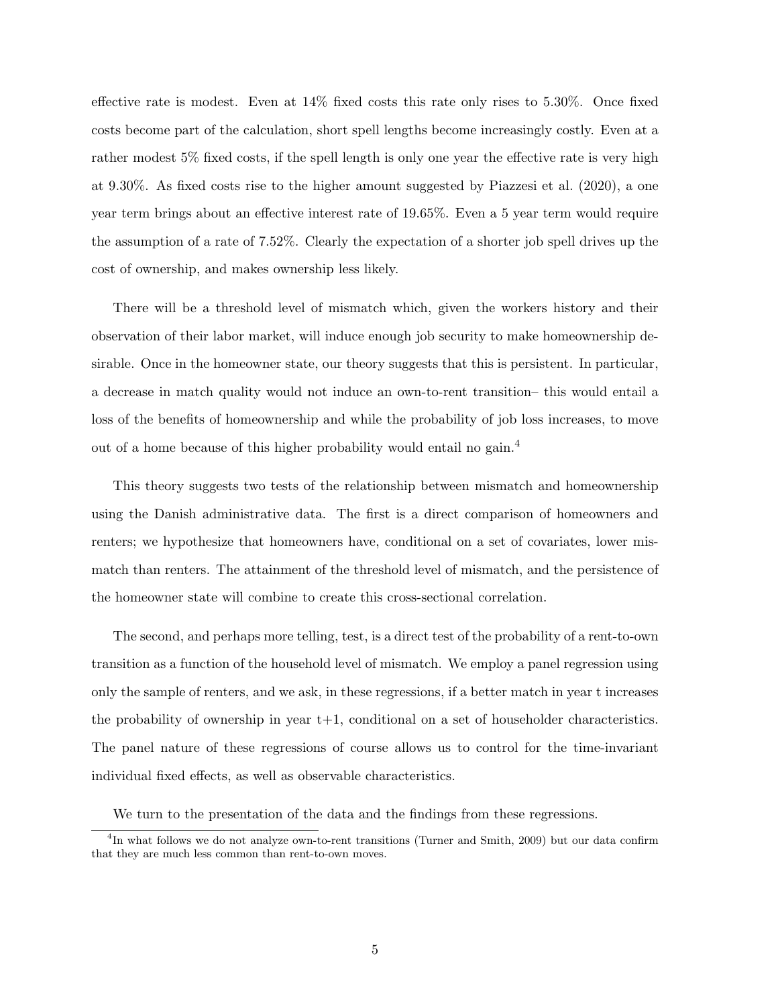effective rate is modest. Even at 14% fixed costs this rate only rises to 5.30%. Once fixed costs become part of the calculation, short spell lengths become increasingly costly. Even at a rather modest 5% fixed costs, if the spell length is only one year the effective rate is very high at 9.30%. As fixed costs rise to the higher amount suggested by Piazzesi et al. (2020), a one year term brings about an effective interest rate of 19.65%. Even a 5 year term would require the assumption of a rate of 7.52%. Clearly the expectation of a shorter job spell drives up the cost of ownership, and makes ownership less likely.

There will be a threshold level of mismatch which, given the workers history and their observation of their labor market, will induce enough job security to make homeownership desirable. Once in the homeowner state, our theory suggests that this is persistent. In particular, a decrease in match quality would not induce an own-to-rent transition– this would entail a loss of the benefits of homeownership and while the probability of job loss increases, to move out of a home because of this higher probability would entail no gain.<sup>4</sup>

This theory suggests two tests of the relationship between mismatch and homeownership using the Danish administrative data. The first is a direct comparison of homeowners and renters; we hypothesize that homeowners have, conditional on a set of covariates, lower mismatch than renters. The attainment of the threshold level of mismatch, and the persistence of the homeowner state will combine to create this cross-sectional correlation.

The second, and perhaps more telling, test, is a direct test of the probability of a rent-to-own transition as a function of the household level of mismatch. We employ a panel regression using only the sample of renters, and we ask, in these regressions, if a better match in year t increases the probability of ownership in year  $t+1$ , conditional on a set of householder characteristics. The panel nature of these regressions of course allows us to control for the time-invariant individual fixed effects, as well as observable characteristics.

We turn to the presentation of the data and the findings from these regressions.

<sup>&</sup>lt;sup>4</sup>In what follows we do not analyze own-to-rent transitions (Turner and Smith, 2009) but our data confirm that they are much less common than rent-to-own moves.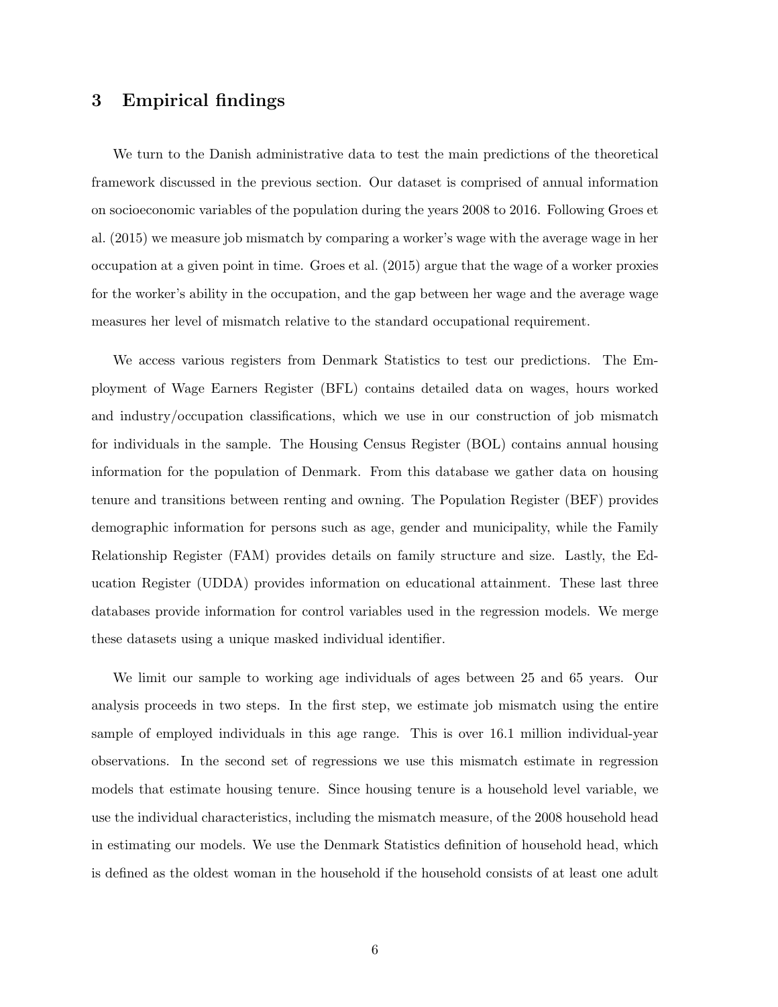### 3 Empirical findings

We turn to the Danish administrative data to test the main predictions of the theoretical framework discussed in the previous section. Our dataset is comprised of annual information on socioeconomic variables of the population during the years 2008 to 2016. Following Groes et al. (2015) we measure job mismatch by comparing a worker's wage with the average wage in her occupation at a given point in time. Groes et al. (2015) argue that the wage of a worker proxies for the worker's ability in the occupation, and the gap between her wage and the average wage measures her level of mismatch relative to the standard occupational requirement.

We access various registers from Denmark Statistics to test our predictions. The Employment of Wage Earners Register (BFL) contains detailed data on wages, hours worked and industry/occupation classifications, which we use in our construction of job mismatch for individuals in the sample. The Housing Census Register (BOL) contains annual housing information for the population of Denmark. From this database we gather data on housing tenure and transitions between renting and owning. The Population Register (BEF) provides demographic information for persons such as age, gender and municipality, while the Family Relationship Register (FAM) provides details on family structure and size. Lastly, the Education Register (UDDA) provides information on educational attainment. These last three databases provide information for control variables used in the regression models. We merge these datasets using a unique masked individual identifier.

We limit our sample to working age individuals of ages between 25 and 65 years. Our analysis proceeds in two steps. In the first step, we estimate job mismatch using the entire sample of employed individuals in this age range. This is over 16.1 million individual-year observations. In the second set of regressions we use this mismatch estimate in regression models that estimate housing tenure. Since housing tenure is a household level variable, we use the individual characteristics, including the mismatch measure, of the 2008 household head in estimating our models. We use the Denmark Statistics definition of household head, which is defined as the oldest woman in the household if the household consists of at least one adult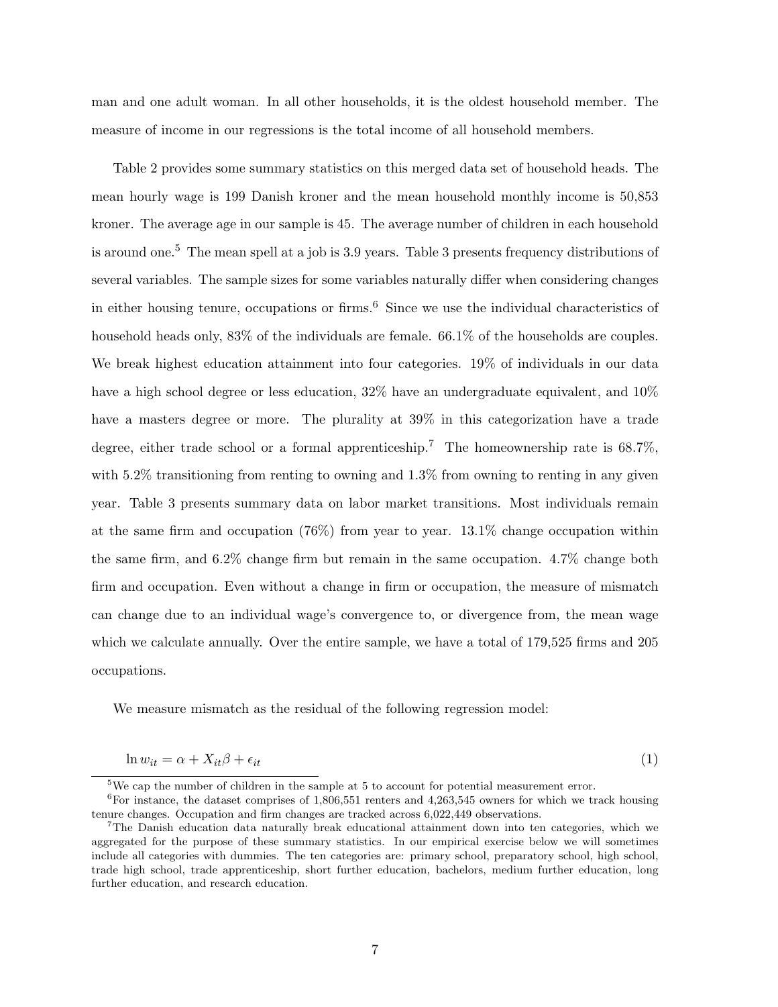man and one adult woman. In all other households, it is the oldest household member. The measure of income in our regressions is the total income of all household members.

Table 2 provides some summary statistics on this merged data set of household heads. The mean hourly wage is 199 Danish kroner and the mean household monthly income is 50,853 kroner. The average age in our sample is 45. The average number of children in each household is around one.<sup>5</sup> The mean spell at a job is 3.9 years. Table 3 presents frequency distributions of several variables. The sample sizes for some variables naturally differ when considering changes in either housing tenure, occupations or firms.<sup>6</sup> Since we use the individual characteristics of household heads only, 83% of the individuals are female. 66.1% of the households are couples. We break highest education attainment into four categories. 19% of individuals in our data have a high school degree or less education,  $32\%$  have an undergraduate equivalent, and  $10\%$ have a masters degree or more. The plurality at  $39\%$  in this categorization have a trade degree, either trade school or a formal apprenticeship.<sup>7</sup> The homeownership rate is 68.7%, with 5.2% transitioning from renting to owning and 1.3% from owning to renting in any given year. Table 3 presents summary data on labor market transitions. Most individuals remain at the same firm and occupation (76%) from year to year. 13.1% change occupation within the same firm, and 6.2% change firm but remain in the same occupation. 4.7% change both firm and occupation. Even without a change in firm or occupation, the measure of mismatch can change due to an individual wage's convergence to, or divergence from, the mean wage which we calculate annually. Over the entire sample, we have a total of 179,525 firms and 205 occupations.

We measure mismatch as the residual of the following regression model:

$$
\ln w_{it} = \alpha + X_{it}\beta + \epsilon_{it} \tag{1}
$$

<sup>5</sup>We cap the number of children in the sample at 5 to account for potential measurement error.

 ${}^{6}$ For instance, the dataset comprises of 1,806,551 renters and 4,263,545 owners for which we track housing tenure changes. Occupation and firm changes are tracked across 6,022,449 observations.

<sup>7</sup>The Danish education data naturally break educational attainment down into ten categories, which we aggregated for the purpose of these summary statistics. In our empirical exercise below we will sometimes include all categories with dummies. The ten categories are: primary school, preparatory school, high school, trade high school, trade apprenticeship, short further education, bachelors, medium further education, long further education, and research education.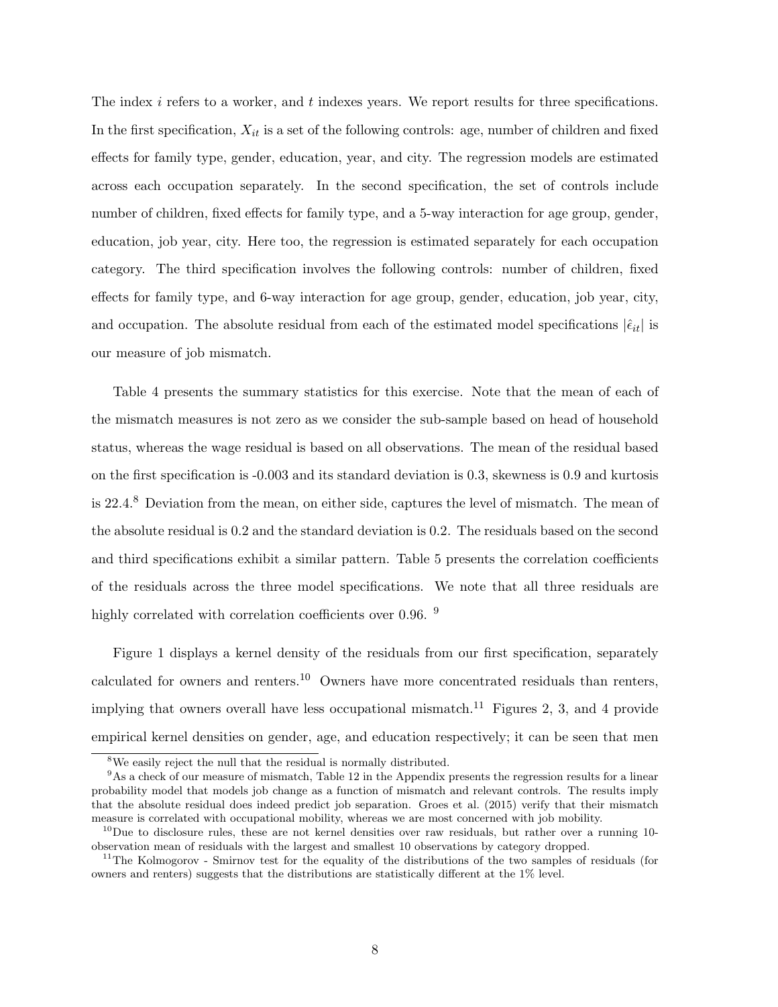The index i refers to a worker, and t indexes years. We report results for three specifications. In the first specification,  $X_{it}$  is a set of the following controls: age, number of children and fixed effects for family type, gender, education, year, and city. The regression models are estimated across each occupation separately. In the second specification, the set of controls include number of children, fixed effects for family type, and a 5-way interaction for age group, gender, education, job year, city. Here too, the regression is estimated separately for each occupation category. The third specification involves the following controls: number of children, fixed effects for family type, and 6-way interaction for age group, gender, education, job year, city, and occupation. The absolute residual from each of the estimated model specifications  $|\hat{\epsilon}_{it}|$  is our measure of job mismatch.

Table 4 presents the summary statistics for this exercise. Note that the mean of each of the mismatch measures is not zero as we consider the sub-sample based on head of household status, whereas the wage residual is based on all observations. The mean of the residual based on the first specification is -0.003 and its standard deviation is 0.3, skewness is 0.9 and kurtosis is 22.4.<sup>8</sup> Deviation from the mean, on either side, captures the level of mismatch. The mean of the absolute residual is 0.2 and the standard deviation is 0.2. The residuals based on the second and third specifications exhibit a similar pattern. Table 5 presents the correlation coefficients of the residuals across the three model specifications. We note that all three residuals are highly correlated with correlation coefficients over 0.96. <sup>9</sup>

Figure 1 displays a kernel density of the residuals from our first specification, separately calculated for owners and renters.<sup>10</sup> Owners have more concentrated residuals than renters, implying that owners overall have less occupational mismatch.<sup>11</sup> Figures 2, 3, and 4 provide empirical kernel densities on gender, age, and education respectively; it can be seen that men

<sup>&</sup>lt;sup>8</sup>We easily reject the null that the residual is normally distributed.

<sup>9</sup>As a check of our measure of mismatch, Table 12 in the Appendix presents the regression results for a linear probability model that models job change as a function of mismatch and relevant controls. The results imply that the absolute residual does indeed predict job separation. Groes et al. (2015) verify that their mismatch measure is correlated with occupational mobility, whereas we are most concerned with job mobility.

 $10$ Due to disclosure rules, these are not kernel densities over raw residuals, but rather over a running 10observation mean of residuals with the largest and smallest 10 observations by category dropped.

<sup>&</sup>lt;sup>11</sup>The Kolmogorov - Smirnov test for the equality of the distributions of the two samples of residuals (for owners and renters) suggests that the distributions are statistically different at the 1% level.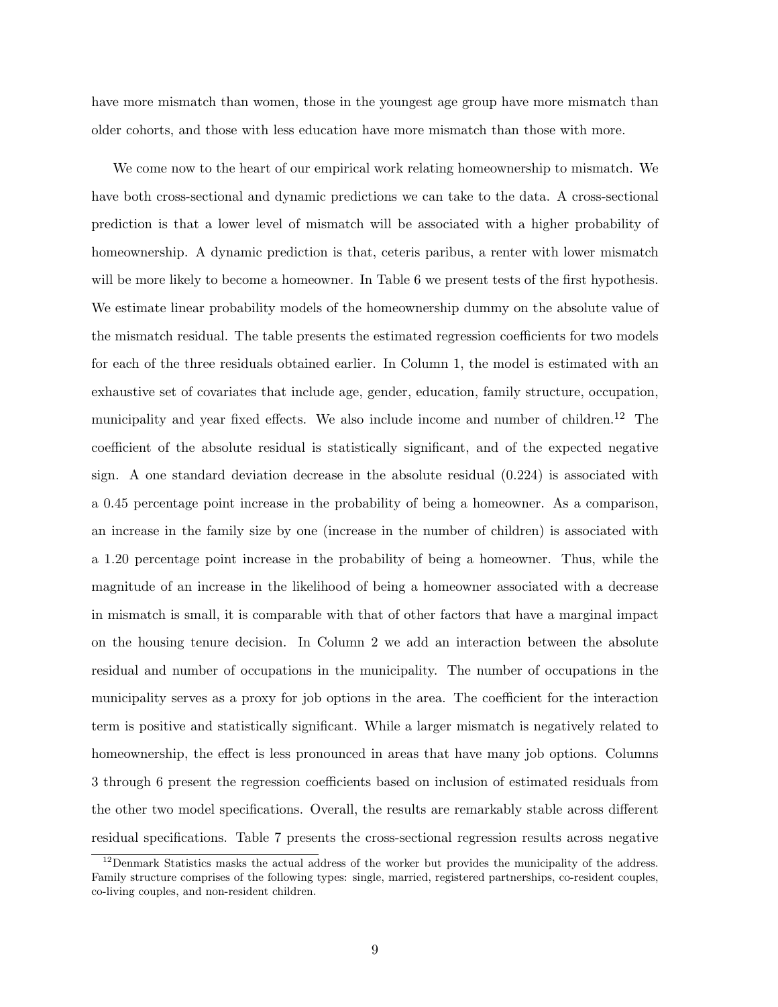have more mismatch than women, those in the youngest age group have more mismatch than older cohorts, and those with less education have more mismatch than those with more.

We come now to the heart of our empirical work relating homeownership to mismatch. We have both cross-sectional and dynamic predictions we can take to the data. A cross-sectional prediction is that a lower level of mismatch will be associated with a higher probability of homeownership. A dynamic prediction is that, ceteris paribus, a renter with lower mismatch will be more likely to become a homeowner. In Table 6 we present tests of the first hypothesis. We estimate linear probability models of the homeownership dummy on the absolute value of the mismatch residual. The table presents the estimated regression coefficients for two models for each of the three residuals obtained earlier. In Column 1, the model is estimated with an exhaustive set of covariates that include age, gender, education, family structure, occupation, municipality and year fixed effects. We also include income and number of children.<sup>12</sup> The coefficient of the absolute residual is statistically significant, and of the expected negative sign. A one standard deviation decrease in the absolute residual (0.224) is associated with a 0.45 percentage point increase in the probability of being a homeowner. As a comparison, an increase in the family size by one (increase in the number of children) is associated with a 1.20 percentage point increase in the probability of being a homeowner. Thus, while the magnitude of an increase in the likelihood of being a homeowner associated with a decrease in mismatch is small, it is comparable with that of other factors that have a marginal impact on the housing tenure decision. In Column 2 we add an interaction between the absolute residual and number of occupations in the municipality. The number of occupations in the municipality serves as a proxy for job options in the area. The coefficient for the interaction term is positive and statistically significant. While a larger mismatch is negatively related to homeownership, the effect is less pronounced in areas that have many job options. Columns 3 through 6 present the regression coefficients based on inclusion of estimated residuals from the other two model specifications. Overall, the results are remarkably stable across different residual specifications. Table 7 presents the cross-sectional regression results across negative

 $12$ Denmark Statistics masks the actual address of the worker but provides the municipality of the address. Family structure comprises of the following types: single, married, registered partnerships, co-resident couples, co-living couples, and non-resident children.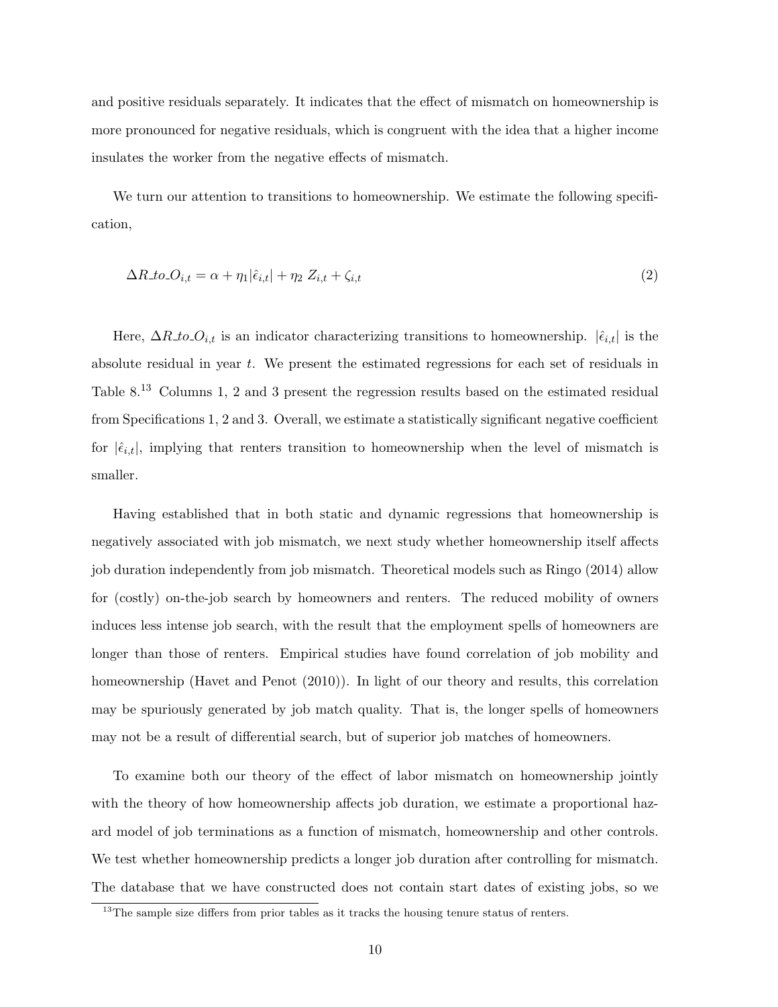and positive residuals separately. It indicates that the effect of mismatch on homeownership is more pronounced for negative residuals, which is congruent with the idea that a higher income insulates the worker from the negative effects of mismatch.

We turn our attention to transitions to homeownership. We estimate the following specification,

$$
\Delta R_{\cdot} \cdot \mathbf{L} \cdot \mathbf{L} \cdot \mathbf{L} \cdot \mathbf{L} = \alpha + \eta_1 |\hat{\epsilon}_{i,t}| + \eta_2 Z_{i,t} + \zeta_{i,t} \tag{2}
$$

Here,  $\Delta R_{\perp}$  to  $O_{i,t}$  is an indicator characterizing transitions to homeownership.  $|\hat{\epsilon}_{i,t}|$  is the absolute residual in year t. We present the estimated regressions for each set of residuals in Table 8.<sup>13</sup> Columns 1, 2 and 3 present the regression results based on the estimated residual from Specifications 1, 2 and 3. Overall, we estimate a statistically significant negative coefficient for  $|\hat{\epsilon}_{i,t}|$ , implying that renters transition to homeownership when the level of mismatch is smaller.

Having established that in both static and dynamic regressions that homeownership is negatively associated with job mismatch, we next study whether homeownership itself affects job duration independently from job mismatch. Theoretical models such as Ringo (2014) allow for (costly) on-the-job search by homeowners and renters. The reduced mobility of owners induces less intense job search, with the result that the employment spells of homeowners are longer than those of renters. Empirical studies have found correlation of job mobility and homeownership (Havet and Penot (2010)). In light of our theory and results, this correlation may be spuriously generated by job match quality. That is, the longer spells of homeowners may not be a result of differential search, but of superior job matches of homeowners.

To examine both our theory of the effect of labor mismatch on homeownership jointly with the theory of how homeownership affects job duration, we estimate a proportional hazard model of job terminations as a function of mismatch, homeownership and other controls. We test whether homeownership predicts a longer job duration after controlling for mismatch. The database that we have constructed does not contain start dates of existing jobs, so we

 $^{13}\mathrm{The}$  sample size differs from prior tables as it tracks the housing tenure status of renters.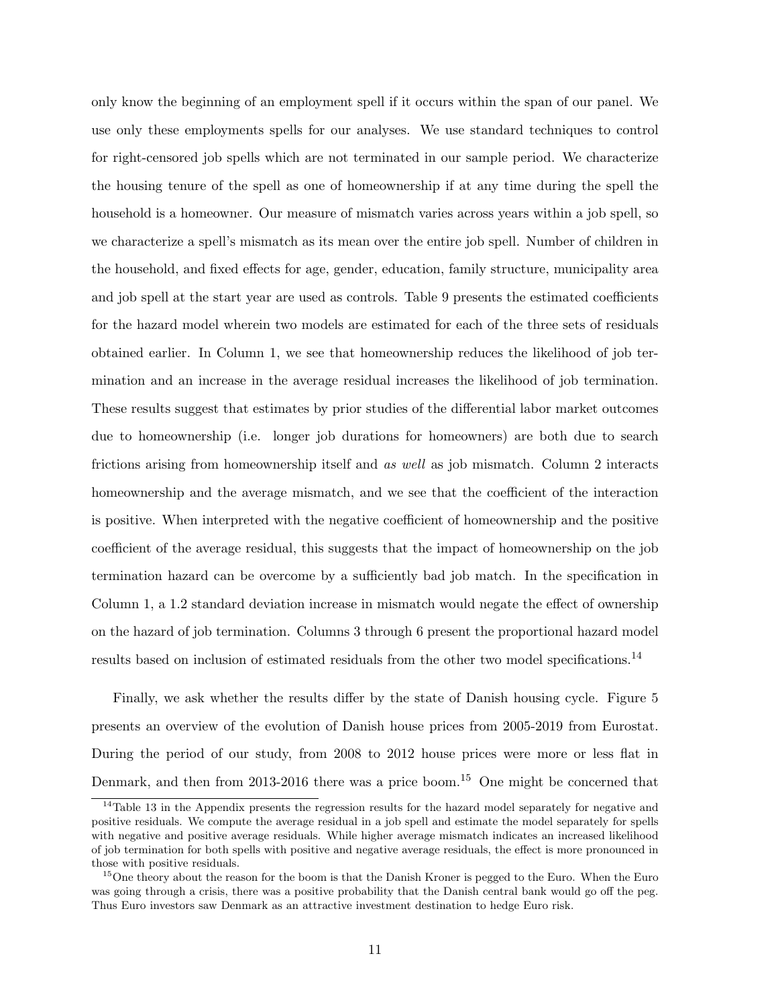only know the beginning of an employment spell if it occurs within the span of our panel. We use only these employments spells for our analyses. We use standard techniques to control for right-censored job spells which are not terminated in our sample period. We characterize the housing tenure of the spell as one of homeownership if at any time during the spell the household is a homeowner. Our measure of mismatch varies across years within a job spell, so we characterize a spell's mismatch as its mean over the entire job spell. Number of children in the household, and fixed effects for age, gender, education, family structure, municipality area and job spell at the start year are used as controls. Table 9 presents the estimated coefficients for the hazard model wherein two models are estimated for each of the three sets of residuals obtained earlier. In Column 1, we see that homeownership reduces the likelihood of job termination and an increase in the average residual increases the likelihood of job termination. These results suggest that estimates by prior studies of the differential labor market outcomes due to homeownership (i.e. longer job durations for homeowners) are both due to search frictions arising from homeownership itself and as well as job mismatch. Column 2 interacts homeownership and the average mismatch, and we see that the coefficient of the interaction is positive. When interpreted with the negative coefficient of homeownership and the positive coefficient of the average residual, this suggests that the impact of homeownership on the job termination hazard can be overcome by a sufficiently bad job match. In the specification in Column 1, a 1.2 standard deviation increase in mismatch would negate the effect of ownership on the hazard of job termination. Columns 3 through 6 present the proportional hazard model results based on inclusion of estimated residuals from the other two model specifications.<sup>14</sup>

Finally, we ask whether the results differ by the state of Danish housing cycle. Figure 5 presents an overview of the evolution of Danish house prices from 2005-2019 from Eurostat. During the period of our study, from 2008 to 2012 house prices were more or less flat in Denmark, and then from 2013-2016 there was a price boom.<sup>15</sup> One might be concerned that

<sup>&</sup>lt;sup>14</sup>Table 13 in the Appendix presents the regression results for the hazard model separately for negative and positive residuals. We compute the average residual in a job spell and estimate the model separately for spells with negative and positive average residuals. While higher average mismatch indicates an increased likelihood of job termination for both spells with positive and negative average residuals, the effect is more pronounced in those with positive residuals.

<sup>&</sup>lt;sup>15</sup>One theory about the reason for the boom is that the Danish Kroner is pegged to the Euro. When the Euro was going through a crisis, there was a positive probability that the Danish central bank would go off the peg. Thus Euro investors saw Denmark as an attractive investment destination to hedge Euro risk.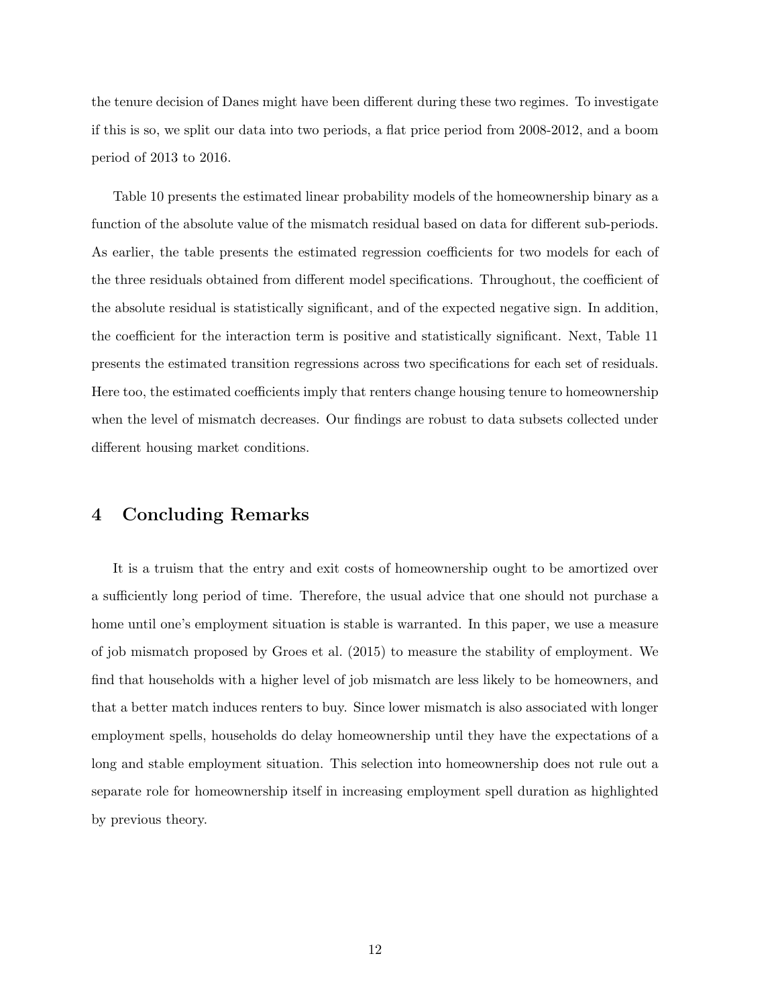the tenure decision of Danes might have been different during these two regimes. To investigate if this is so, we split our data into two periods, a flat price period from 2008-2012, and a boom period of 2013 to 2016.

Table 10 presents the estimated linear probability models of the homeownership binary as a function of the absolute value of the mismatch residual based on data for different sub-periods. As earlier, the table presents the estimated regression coefficients for two models for each of the three residuals obtained from different model specifications. Throughout, the coefficient of the absolute residual is statistically significant, and of the expected negative sign. In addition, the coefficient for the interaction term is positive and statistically significant. Next, Table 11 presents the estimated transition regressions across two specifications for each set of residuals. Here too, the estimated coefficients imply that renters change housing tenure to homeownership when the level of mismatch decreases. Our findings are robust to data subsets collected under different housing market conditions.

#### 4 Concluding Remarks

It is a truism that the entry and exit costs of homeownership ought to be amortized over a sufficiently long period of time. Therefore, the usual advice that one should not purchase a home until one's employment situation is stable is warranted. In this paper, we use a measure of job mismatch proposed by Groes et al. (2015) to measure the stability of employment. We find that households with a higher level of job mismatch are less likely to be homeowners, and that a better match induces renters to buy. Since lower mismatch is also associated with longer employment spells, households do delay homeownership until they have the expectations of a long and stable employment situation. This selection into homeownership does not rule out a separate role for homeownership itself in increasing employment spell duration as highlighted by previous theory.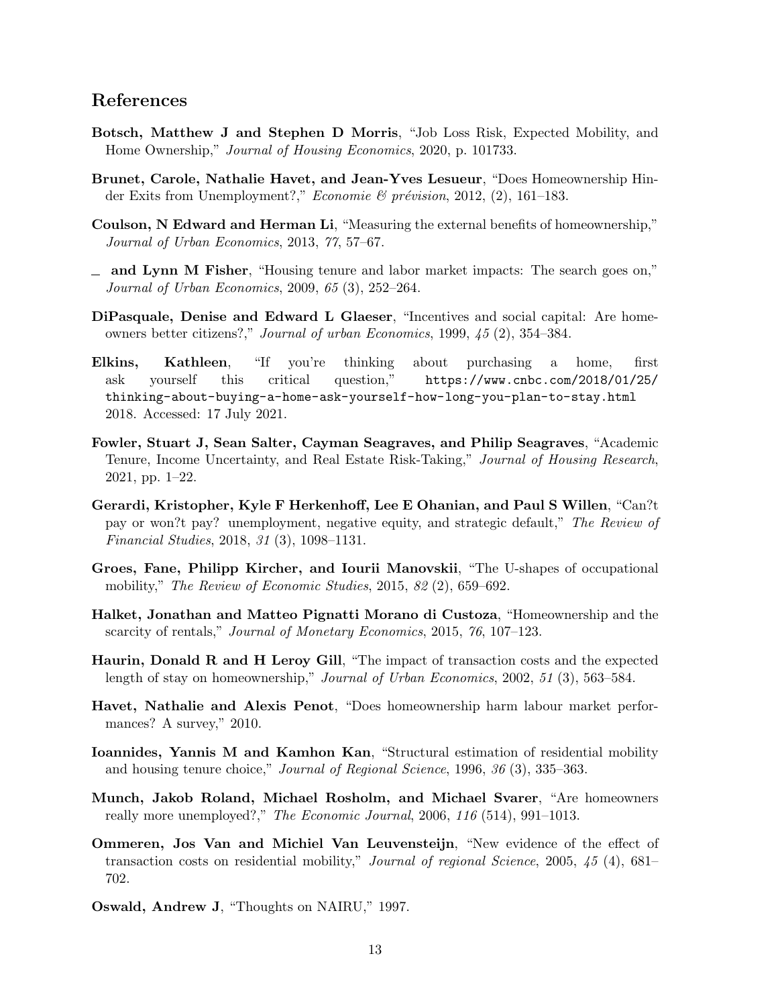#### References

- Botsch, Matthew J and Stephen D Morris, "Job Loss Risk, Expected Mobility, and Home Ownership," Journal of Housing Economics, 2020, p. 101733.
- Brunet, Carole, Nathalie Havet, and Jean-Yves Lesueur, "Does Homeownership Hinder Exits from Unemployment?," Economie & prévision, 2012,  $(2)$ , 161–183.
- Coulson, N Edward and Herman Li, "Measuring the external benefits of homeownership," Journal of Urban Economics, 2013, 77, 57–67.
- and Lynn M Fisher, "Housing tenure and labor market impacts: The search goes on," Journal of Urban Economics, 2009, 65 (3), 252–264.
- DiPasquale, Denise and Edward L Glaeser, "Incentives and social capital: Are homeowners better citizens?," Journal of urban Economics, 1999, 45 (2), 354–384.
- Elkins, Kathleen, "If you're thinking about purchasing a home, first ask yourself this critical question," https://www.cnbc.com/2018/01/25/ thinking-about-buying-a-home-ask-yourself-how-long-you-plan-to-stay.html 2018. Accessed: 17 July 2021.
- Fowler, Stuart J, Sean Salter, Cayman Seagraves, and Philip Seagraves, "Academic Tenure, Income Uncertainty, and Real Estate Risk-Taking," Journal of Housing Research, 2021, pp. 1–22.
- Gerardi, Kristopher, Kyle F Herkenhoff, Lee E Ohanian, and Paul S Willen, "Can?t pay or won?t pay? unemployment, negative equity, and strategic default," The Review of Financial Studies, 2018, 31 (3), 1098–1131.
- Groes, Fane, Philipp Kircher, and Iourii Manovskii, "The U-shapes of occupational mobility," The Review of Economic Studies, 2015, 82 (2), 659–692.
- Halket, Jonathan and Matteo Pignatti Morano di Custoza, "Homeownership and the scarcity of rentals," Journal of Monetary Economics, 2015, 76, 107–123.
- Haurin, Donald R and H Leroy Gill, "The impact of transaction costs and the expected length of stay on homeownership," Journal of Urban Economics, 2002, 51 (3), 563–584.
- Havet, Nathalie and Alexis Penot, "Does homeownership harm labour market performances? A survey," 2010.
- Ioannides, Yannis M and Kamhon Kan, "Structural estimation of residential mobility and housing tenure choice," Journal of Regional Science, 1996, 36 (3), 335–363.
- Munch, Jakob Roland, Michael Rosholm, and Michael Svarer, "Are homeowners really more unemployed?," The Economic Journal, 2006, 116 (514), 991–1013.
- Ommeren, Jos Van and Michiel Van Leuvensteijn, "New evidence of the effect of transaction costs on residential mobility," Journal of regional Science, 2005, 45 (4), 681– 702.
- Oswald, Andrew J, "Thoughts on NAIRU," 1997.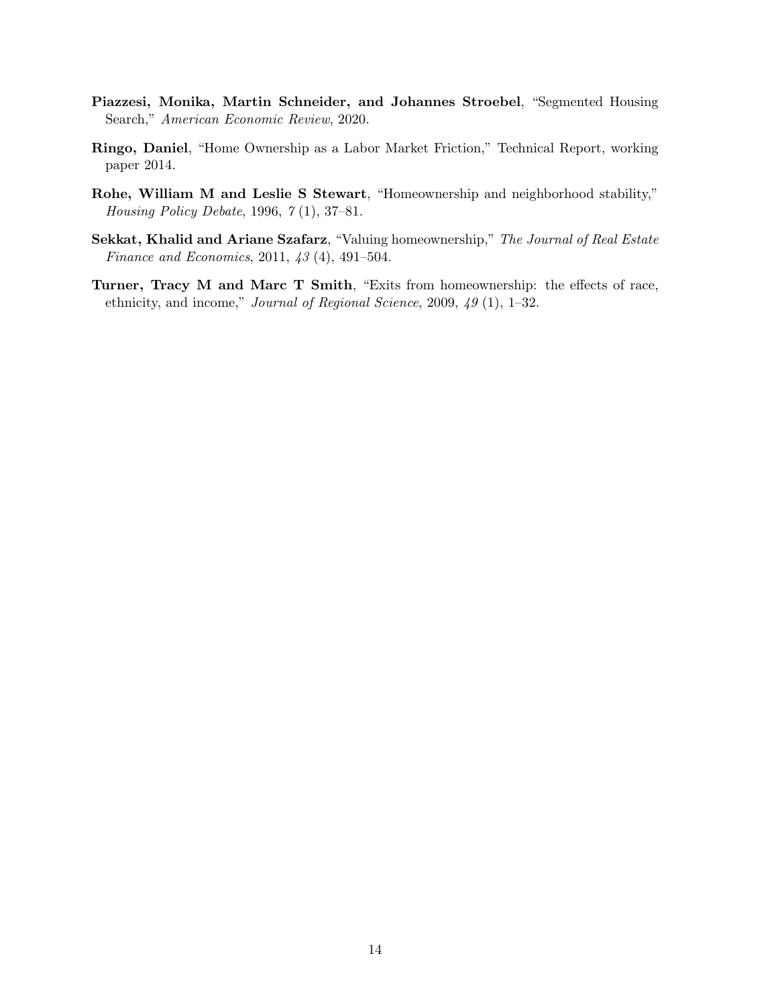- Piazzesi, Monika, Martin Schneider, and Johannes Stroebel, "Segmented Housing Search," American Economic Review, 2020.
- Ringo, Daniel, "Home Ownership as a Labor Market Friction," Technical Report, working paper 2014.
- Rohe, William M and Leslie S Stewart, "Homeownership and neighborhood stability," Housing Policy Debate, 1996, 7 (1), 37–81.
- Sekkat, Khalid and Ariane Szafarz, "Valuing homeownership," The Journal of Real Estate Finance and Economics, 2011, 43 (4), 491–504.
- Turner, Tracy M and Marc T Smith, "Exits from homeownership: the effects of race, ethnicity, and income," Journal of Regional Science, 2009, 49 (1), 1–32.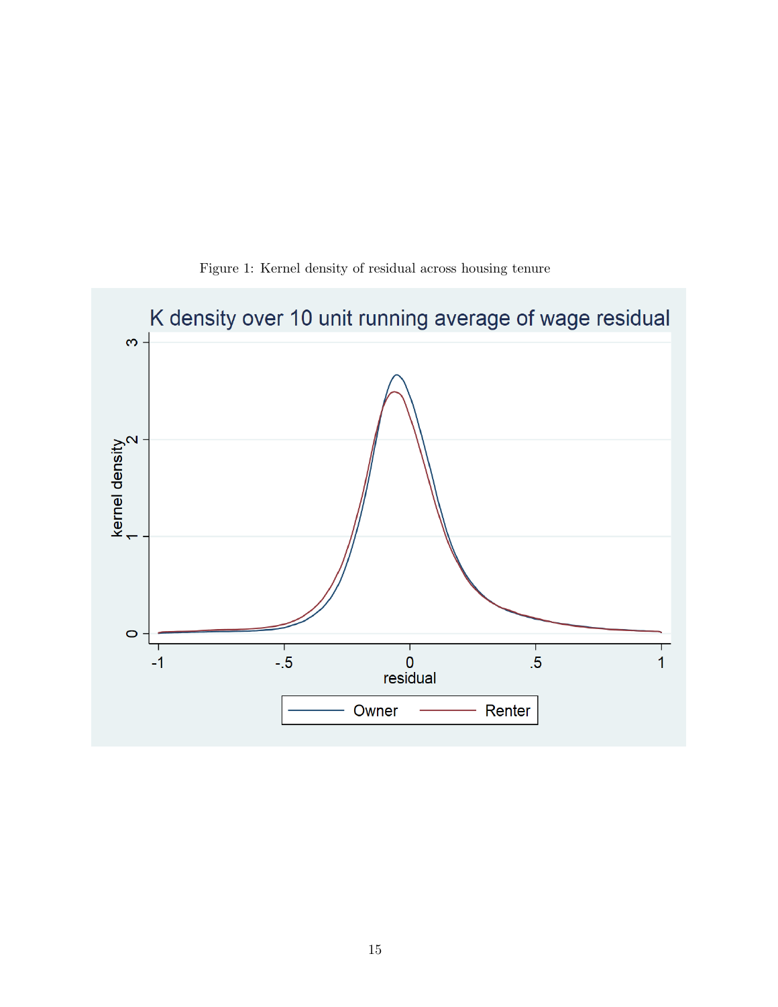

Figure 1: Kernel density of residual across housing tenure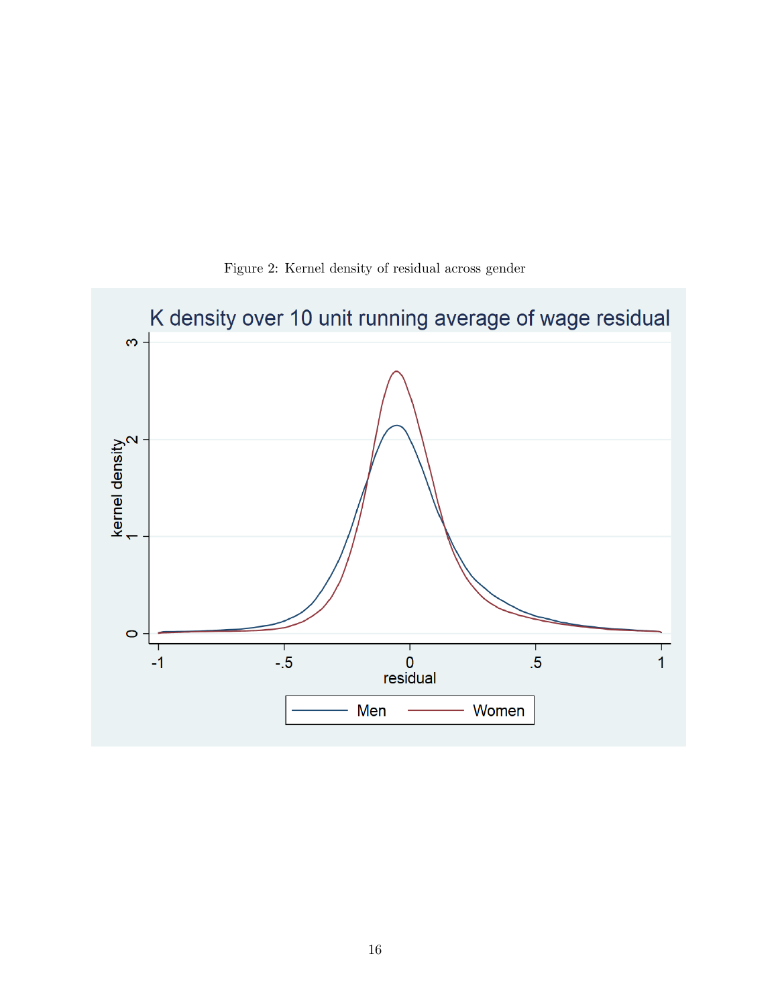

Figure 2: Kernel density of residual across gender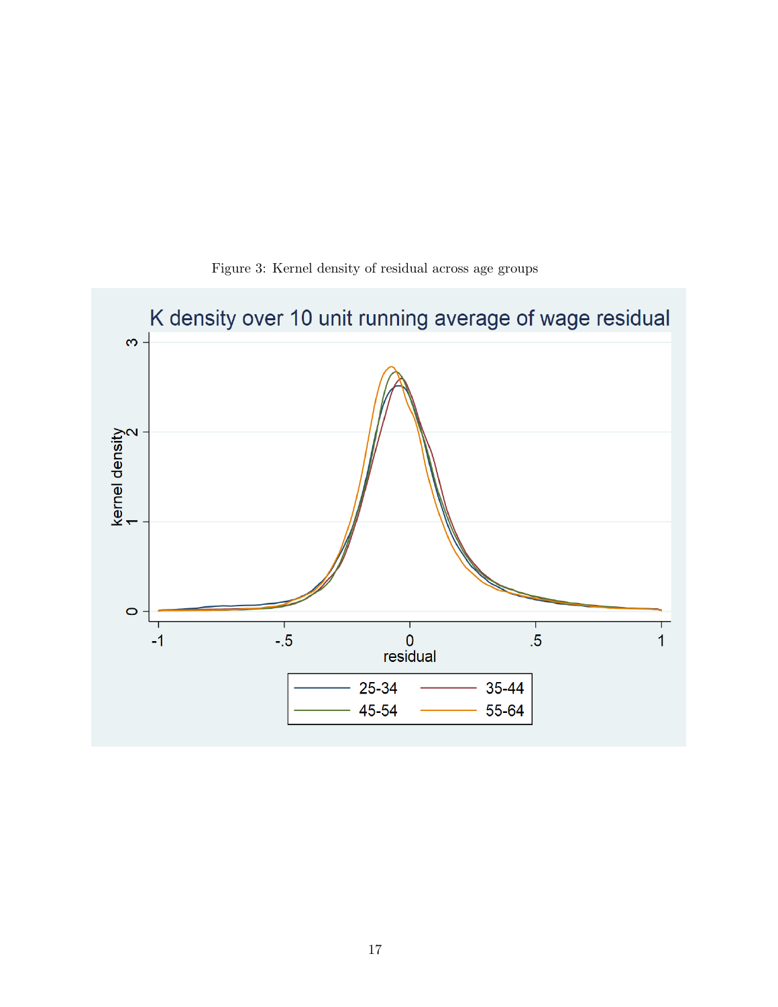

Figure 3: Kernel density of residual across age groups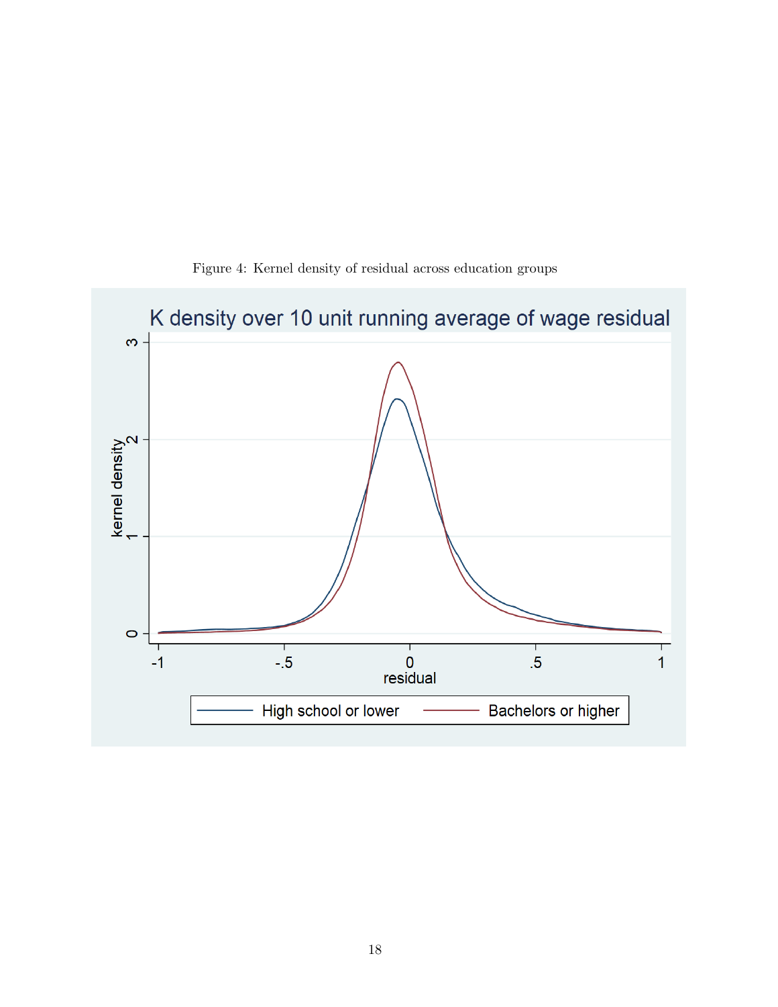

Figure 4: Kernel density of residual across education groups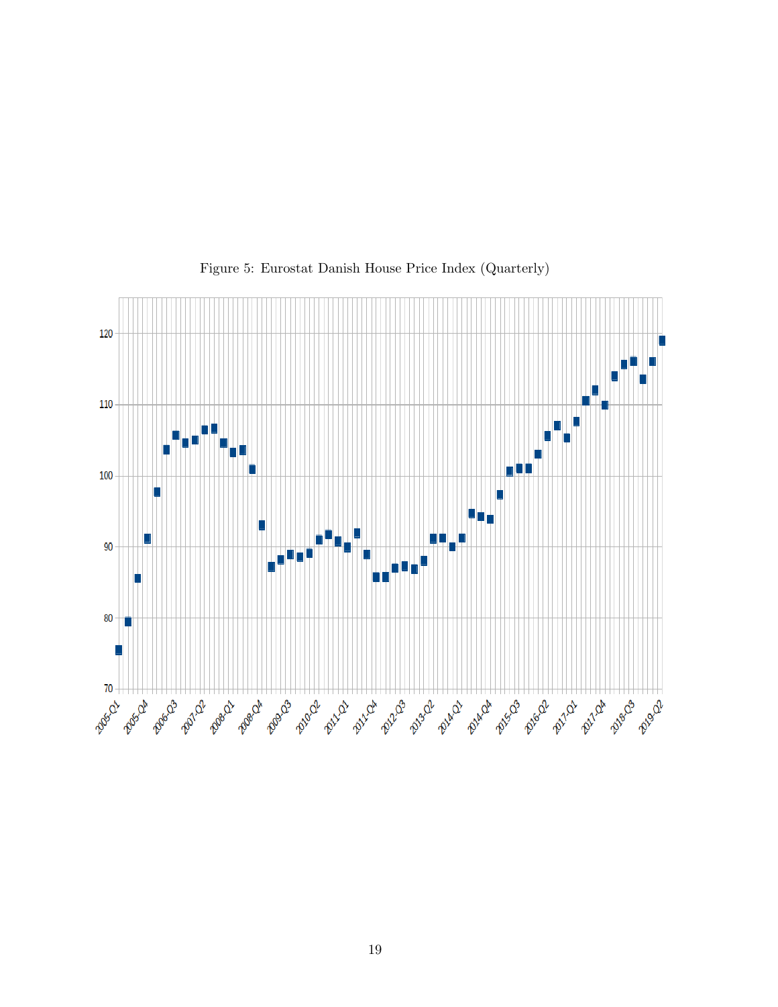

Figure 5: Eurostat Danish House Price Index (Quarterly)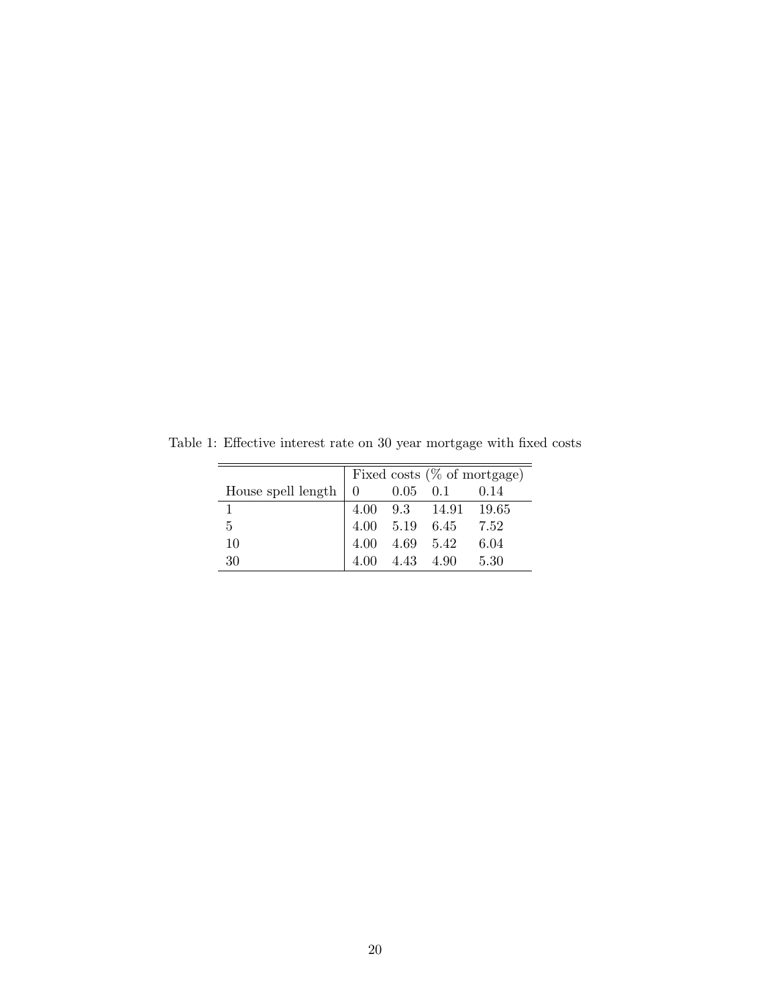|                            |                |                                         | Fixed costs $(\%$ of mortgage) |
|----------------------------|----------------|-----------------------------------------|--------------------------------|
| House spell length $\vert$ | $\overline{0}$ | $0.05 \quad 0.1 \quad 0.14$             |                                |
|                            |                | 4.00 9.3 14.91 19.65                    |                                |
| 5                          |                | $4.00$ $5.19$ $6.45$ $7.52$             |                                |
| 10                         |                | $4.00 \quad 4.69 \quad 5.42 \quad 6.04$ |                                |
| 30                         |                | 4.00 4.43 4.90 5.30                     |                                |

Table 1: Effective interest rate on 30 year mortgage with fixed costs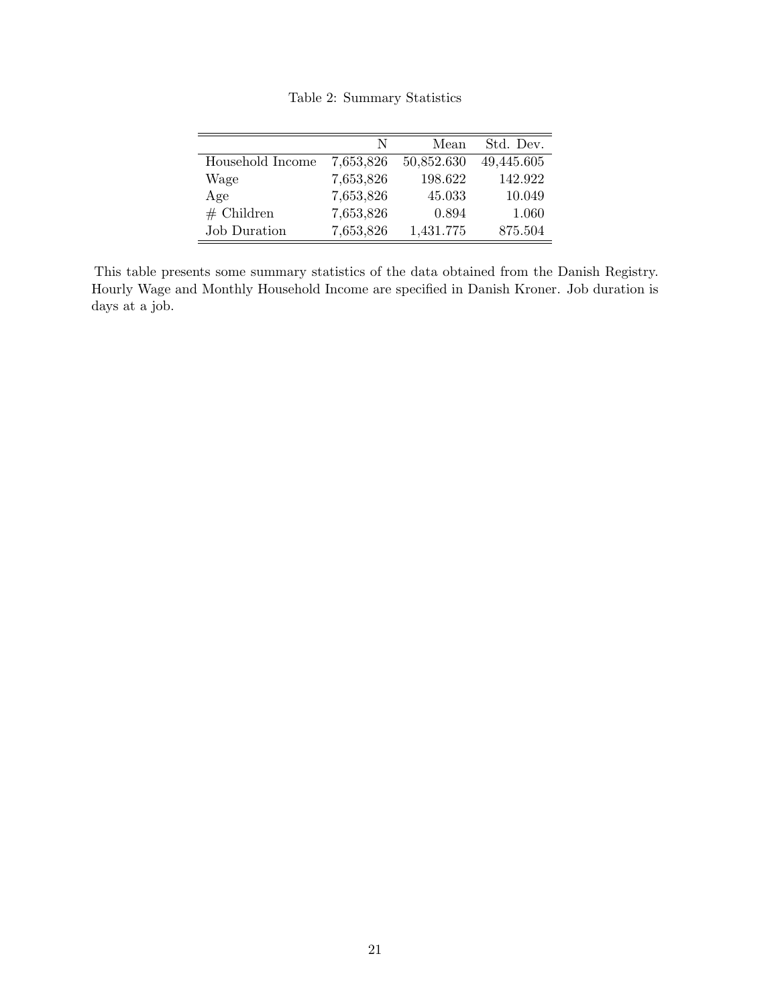|                     | N         | Mean       | Std. Dev.  |
|---------------------|-----------|------------|------------|
| Household Income    | 7,653,826 | 50,852.630 | 49,445.605 |
| Wage                | 7,653,826 | 198.622    | 142.922    |
| Age                 | 7,653,826 | 45.033     | 10.049     |
| $#$ Children        | 7,653,826 | 0.894      | 1.060      |
| <b>Job Duration</b> | 7,653,826 | 1,431.775  | 875.504    |

Table 2: Summary Statistics

This table presents some summary statistics of the data obtained from the Danish Registry. Hourly Wage and Monthly Household Income are specified in Danish Kroner. Job duration is days at a job.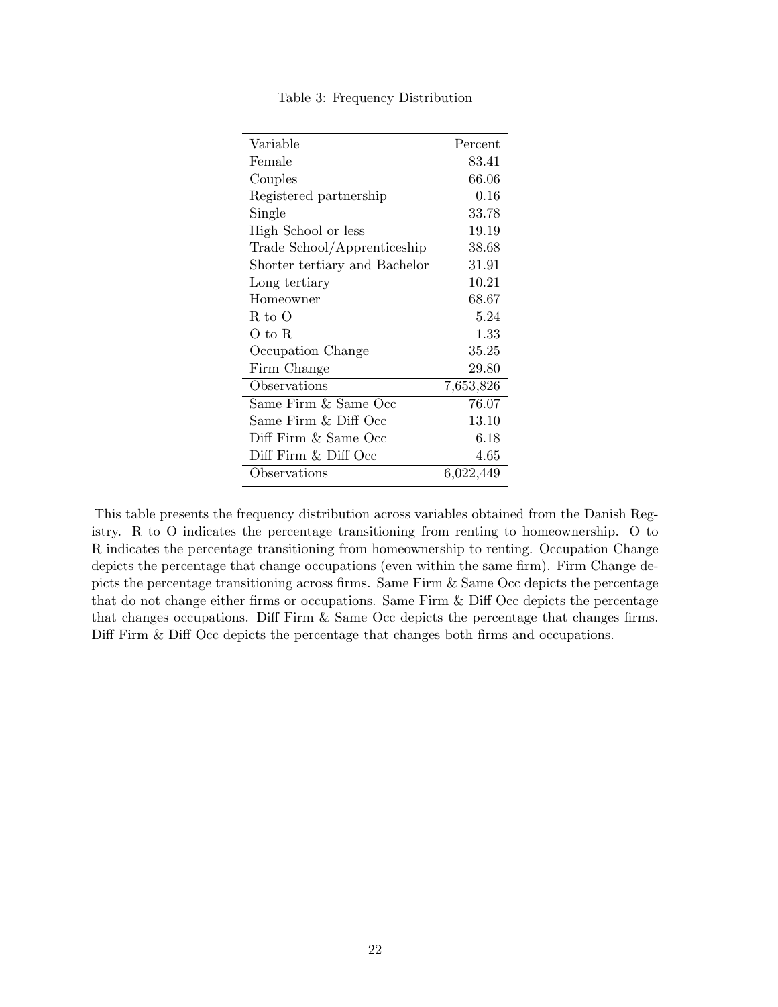| Variable                      | Percent   |
|-------------------------------|-----------|
| Female                        | 83.41     |
| Couples                       | 66.06     |
| Registered partnership        | 0.16      |
| Single                        | 33.78     |
| High School or less           | 19.19     |
| Trade School/Apprenticeship   | 38.68     |
| Shorter tertiary and Bachelor | 31.91     |
| Long tertiary                 | 10.21     |
| Homeowner                     | 68.67     |
| R to O                        | 5.24      |
| O to R                        | 1.33      |
| Occupation Change             | 35.25     |
| Firm Change                   | 29.80     |
| Observations                  | 7,653,826 |
| Same Firm & Same Occ          | 76.07     |
| Same Firm & Diff Occ          | 13.10     |
| Diff Firm & Same Occ          | 6.18      |
| Diff Firm & Diff Occ          | 4.65      |
| Observations                  | 6,022,449 |

Table 3: Frequency Distribution

This table presents the frequency distribution across variables obtained from the Danish Registry. R to O indicates the percentage transitioning from renting to homeownership. O to R indicates the percentage transitioning from homeownership to renting. Occupation Change depicts the percentage that change occupations (even within the same firm). Firm Change depicts the percentage transitioning across firms. Same Firm & Same Occ depicts the percentage that do not change either firms or occupations. Same Firm & Diff Occ depicts the percentage that changes occupations. Diff Firm & Same Occ depicts the percentage that changes firms. Diff Firm & Diff Occ depicts the percentage that changes both firms and occupations.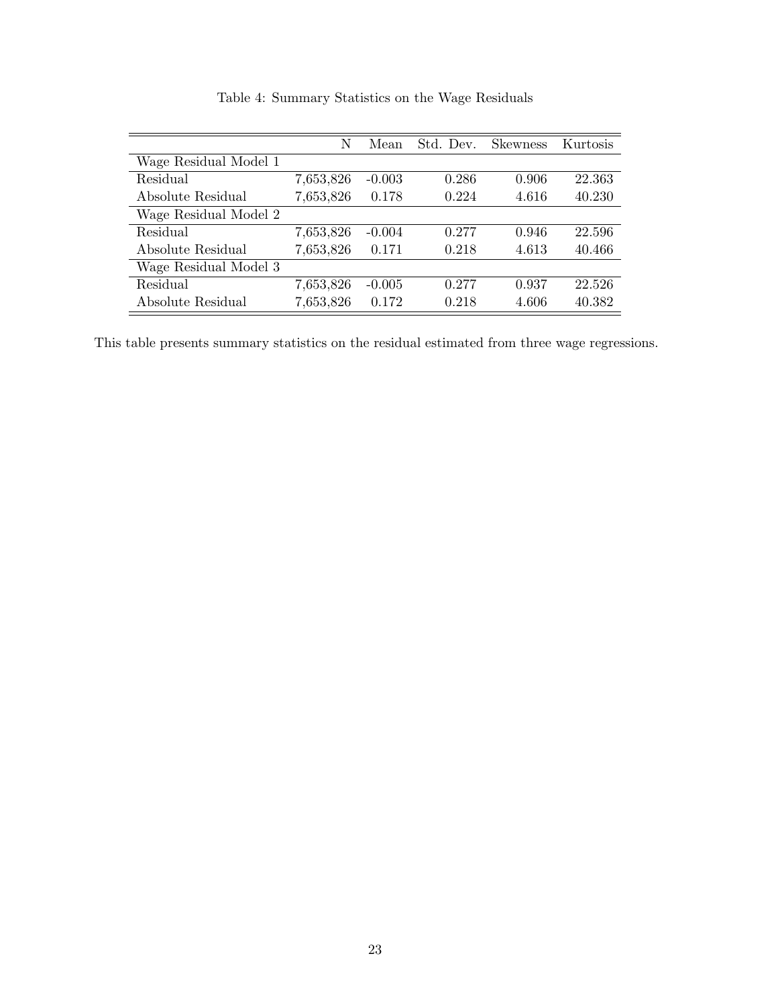|                       | N         | Mean     | Std. Dev. | <b>Skewness</b> | Kurtosis |
|-----------------------|-----------|----------|-----------|-----------------|----------|
| Wage Residual Model 1 |           |          |           |                 |          |
| Residual              | 7,653,826 | $-0.003$ | 0.286     | 0.906           | 22.363   |
| Absolute Residual     | 7,653,826 | 0.178    | 0.224     | 4.616           | 40.230   |
| Wage Residual Model 2 |           |          |           |                 |          |
| Residual              | 7,653,826 | $-0.004$ | 0.277     | 0.946           | 22.596   |
| Absolute Residual     | 7,653,826 | 0.171    | 0.218     | 4.613           | 40.466   |
| Wage Residual Model 3 |           |          |           |                 |          |
| Residual              | 7,653,826 | $-0.005$ | 0.277     | 0.937           | 22.526   |
| Absolute Residual     | 7,653,826 | 0.172    | 0.218     | 4.606           | 40.382   |

Table 4: Summary Statistics on the Wage Residuals

This table presents summary statistics on the residual estimated from three wage regressions.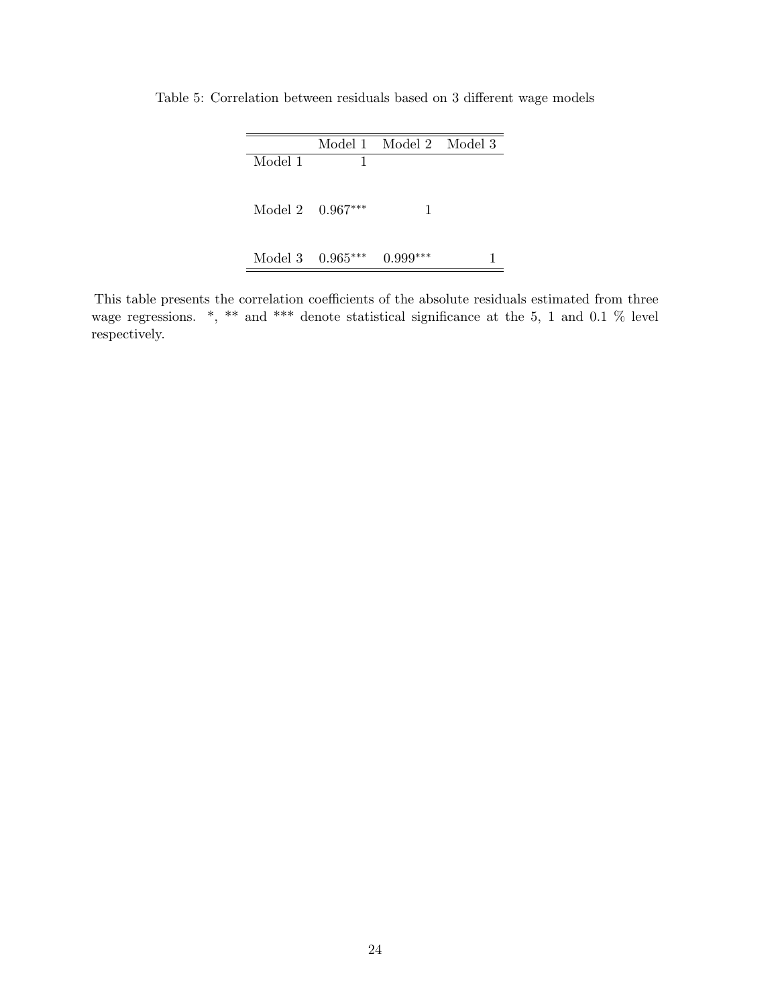|                    | Model 1 Model 2 Model 3 |  |
|--------------------|-------------------------|--|
| Model 1            |                         |  |
| Model 2 $0.967***$ |                         |  |
| Model 3 $0.965***$ | ***<br>0.999            |  |

Table 5: Correlation between residuals based on 3 different wage models

This table presents the correlation coefficients of the absolute residuals estimated from three wage regressions. \*, \*\* and \*\*\* denote statistical significance at the 5, 1 and 0.1 % level respectively.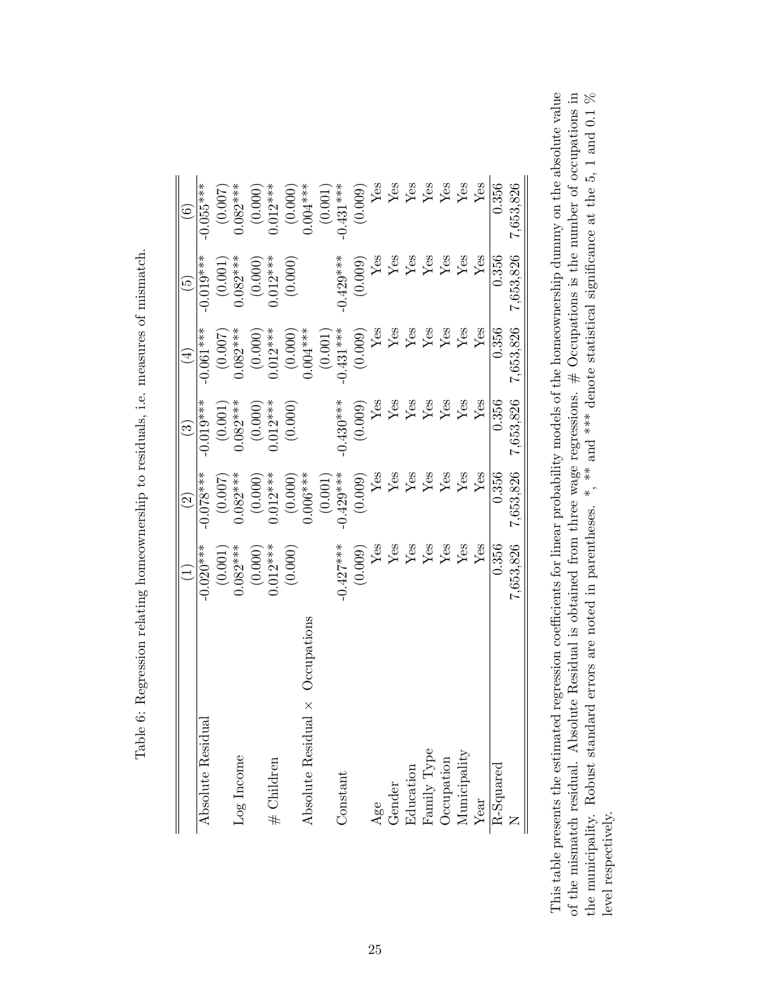| la contra la contra del contra del contra del contra del contra del contra del contra del contra del contra del contra del contra del contra del contra del contra del contra del contra del contra del contra del contra del |
|-------------------------------------------------------------------------------------------------------------------------------------------------------------------------------------------------------------------------------|
|                                                                                                                                                                                                                               |
| くくらい                                                                                                                                                                                                                          |
| うつう こうこう                                                                                                                                                                                                                      |
|                                                                                                                                                                                                                               |
|                                                                                                                                                                                                                               |
|                                                                                                                                                                                                                               |
| $\ddot{\phantom{a}}$                                                                                                                                                                                                          |
| $\frac{1}{2}$                                                                                                                                                                                                                 |
|                                                                                                                                                                                                                               |
| ı                                                                                                                                                                                                                             |
| l<br>֦֦֦֦֦֧֦֧ׅ֧֧ׅ֧֧ׅ֧֧֧֧֧ׅ֧֧֧֧֧֧֧֧֧֧֧֛֚֚֚֚֚֚֚֚֚֚֚֚֚֚֚֚֚֚֚֚֚֚֚֡֝֝֝֬֝֓֝֝֝֓֝֝֜֝֓֜֝֬֜֝֓֝֬֝֓֝֬֜֝֬֝֬֜֝֬                                                                                                                             |
|                                                                                                                                                                                                                               |
| ł<br>$\frac{1}{2}$                                                                                                                                                                                                            |
| j                                                                                                                                                                                                                             |
| $\ddot{\phantom{a}}$                                                                                                                                                                                                          |
|                                                                                                                                                                                                                               |
| ו<br>ו                                                                                                                                                                                                                        |
| ֚֚֚֬                                                                                                                                                                                                                          |
| )<br>į                                                                                                                                                                                                                        |
|                                                                                                                                                                                                                               |
| ֧֧֧֚֚֚֚֚֚֚֚֚֚֚֚֚֚֚֚֚֚֚֚֚֚֚֚֚֚֚֚֬֝֟֓֡֟֓֡֝֓<br>ı                                                                                                                                                                                |
|                                                                                                                                                                                                                               |
| ì                                                                                                                                                                                                                             |
| ו<br>ו                                                                                                                                                                                                                        |
| į<br>١                                                                                                                                                                                                                        |
| I<br>ı                                                                                                                                                                                                                        |
|                                                                                                                                                                                                                               |
| ו<br>ו                                                                                                                                                                                                                        |
| ì<br>F                                                                                                                                                                                                                        |
|                                                                                                                                                                                                                               |

|                                        |                                 | $\widetilde{2}$                 | $\odot$               | Ā                           | $\widetilde{5}$                                                                  | $\widehat{\circ}$       |
|----------------------------------------|---------------------------------|---------------------------------|-----------------------|-----------------------------|----------------------------------------------------------------------------------|-------------------------|
| Absolute Residual                      | $-0.020***$                     | $0.078***$                      | $-0.019***$           | $-0.061***$                 | $-0.019***$                                                                      | $-0.055***$             |
|                                        | (0.001)                         | (0.007)                         | (0.001)               | (0.007)                     | (0.001)                                                                          | (0.007)                 |
| Log Income                             | $0.082***$                      | $0.082***$                      | $0.082***$            | $0.082***$                  | $0.082***$                                                                       | $0.082***$              |
|                                        | (0.000)                         | (0.000)                         | (0.000)               |                             | (0.000)                                                                          |                         |
| # Children                             | $0.012***$                      | $0.012***$                      | $0.012***$            | $(0.000)$<br>0.012***       | $0.012***$                                                                       | $(0.000)$<br>$0.012***$ |
|                                        | (0.000)                         | (0.000)                         | (0.000)               | (0.000)                     | (0.000)                                                                          |                         |
| Absolute Residual $\times$ Occupations |                                 | $0.006***$                      |                       | $0.004***$                  |                                                                                  | $(0.000)$<br>0.004***   |
|                                        |                                 | $\left( 0.001\right)$           |                       | (0.001)                     |                                                                                  | (0.001)                 |
| Constant                               | $-0.427***$                     | $-0.429***$                     | $-0.430***$           | $-0.431***$                 | $-0.429***$                                                                      | $-0.431***$             |
|                                        | $(0.009)$ Yes                   |                                 |                       |                             | (0.009)                                                                          |                         |
| Age                                    |                                 | $(0.009)$ $\rm{Yes}$            | $(0.009)$ ${\rm Yes}$ | $(0.009)$ ${\rm Yes}$       | Yes                                                                              | $(0.009)$<br>Yes        |
| Gender                                 |                                 |                                 |                       | $\ensuremath{\mathrm{Yes}}$ |                                                                                  |                         |
| Education                              |                                 | $\frac{\text{Yes}}{\text{Yes}}$ | $\rm \frac{Yes}{Yes}$ | ${\rm Yes}$                 |                                                                                  | $\frac{Y}{100}$         |
| Family Type                            | $\frac{\text{Yes}}{\text{Yes}}$ | ${\rm Yes}$                     | Yes                   | ${\rm Yes}$                 | $\begin{tabular}{l} \hline \text{Yes} \\ \text{Yes} \\ \text{Yes} \end{tabular}$ | $_{\rm Yes}^{\rm Yes}$  |
| Occupation                             | $\rm Yes$                       | Yes                             | Yes                   | $_{\rm Yes}$                |                                                                                  |                         |
| Municipality                           | Yes                             | Yes                             | Yes                   | Yes                         | ${\rm Yes}$                                                                      | ${\rm Yes}$             |
| Year                                   | ${\rm Yes}$                     | Yes                             | Yes                   | $Y$ es                      | Yes                                                                              | Yes                     |
| R-Squared                              | 0.356                           | 0.356                           | 0.356                 | 0.356                       | 0.356                                                                            | 0.356                   |
|                                        | 7,653,826                       | 7,653,826                       | 7,653,826             | 7,653,826                   | 7,653,826                                                                        | 7,653,826               |

This table presents the estimated regression coefficients for linear probability models of the homeownership dummy on the absolute value of the mismatch residual. Absolute Residual is obtained from three wage regressions.  $#$  Occupations is the number of occupations in the municipality. Robust standard errors are noted in parentheses. \*, \*\* and \*\*\* denote This table presents the estimated regression coefficients for linear probability models of the homeownership dummy on the absolute value of the mismatch residual. Absolute Residual is obtained from three wage regressions.  $\#$  Occupations is the number of occupations in the municipality. Robust standard errors are noted in parentheses. \*, \*\* and \*\*\* denote statistical significance at the 5, 1 and 0.1 % level respectively. level respectively.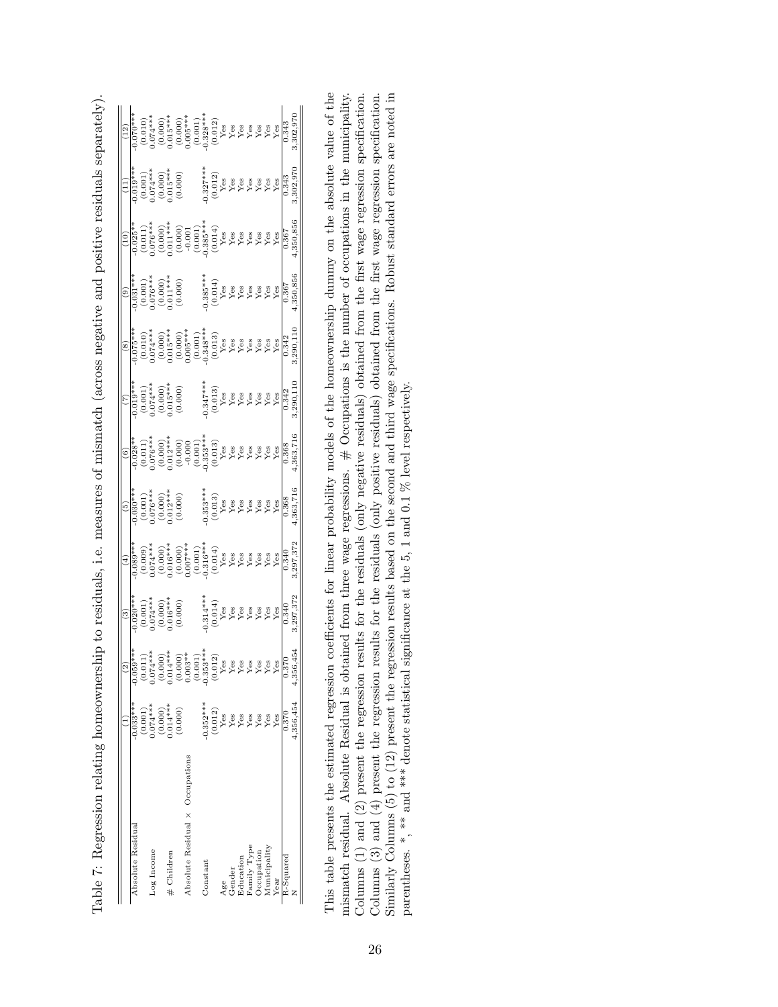| Absolute Residua                |                                                                                      |                                                                                                                                                                                                                                                                                                                     | $\widehat{c}$                                                                                                                                                                                                                                                                                                                                                                                                                                  |                                                                                                                                                                                                                                                                                                                                                              | $\frac{(5)}{(5)}$                                                                                     |                                                                                                                                                                                                                                                                                                        |                                                                                                                     |                                                                                                                                                                                                                                                                                                                 | $\frac{(9)}{0.031}$                                                                                 | $\frac{1}{2}$                                                                                                                                                                                                                                                                                                                                                                                                                                                                                     |                                                                                                    |                                                                                                                                                                                                                                                                                                  |
|---------------------------------|--------------------------------------------------------------------------------------|---------------------------------------------------------------------------------------------------------------------------------------------------------------------------------------------------------------------------------------------------------------------------------------------------------------------|------------------------------------------------------------------------------------------------------------------------------------------------------------------------------------------------------------------------------------------------------------------------------------------------------------------------------------------------------------------------------------------------------------------------------------------------|--------------------------------------------------------------------------------------------------------------------------------------------------------------------------------------------------------------------------------------------------------------------------------------------------------------------------------------------------------------|-------------------------------------------------------------------------------------------------------|--------------------------------------------------------------------------------------------------------------------------------------------------------------------------------------------------------------------------------------------------------------------------------------------------------|---------------------------------------------------------------------------------------------------------------------|-----------------------------------------------------------------------------------------------------------------------------------------------------------------------------------------------------------------------------------------------------------------------------------------------------------------|-----------------------------------------------------------------------------------------------------|---------------------------------------------------------------------------------------------------------------------------------------------------------------------------------------------------------------------------------------------------------------------------------------------------------------------------------------------------------------------------------------------------------------------------------------------------------------------------------------------------|----------------------------------------------------------------------------------------------------|--------------------------------------------------------------------------------------------------------------------------------------------------------------------------------------------------------------------------------------------------------------------------------------------------|
|                                 | $0.033***$                                                                           | $0.059**$                                                                                                                                                                                                                                                                                                           |                                                                                                                                                                                                                                                                                                                                                                                                                                                | $-0.089**$                                                                                                                                                                                                                                                                                                                                                   |                                                                                                       |                                                                                                                                                                                                                                                                                                        |                                                                                                                     |                                                                                                                                                                                                                                                                                                                 |                                                                                                     |                                                                                                                                                                                                                                                                                                                                                                                                                                                                                                   | $-0.019***$                                                                                        |                                                                                                                                                                                                                                                                                                  |
|                                 |                                                                                      |                                                                                                                                                                                                                                                                                                                     |                                                                                                                                                                                                                                                                                                                                                                                                                                                |                                                                                                                                                                                                                                                                                                                                                              |                                                                                                       |                                                                                                                                                                                                                                                                                                        |                                                                                                                     |                                                                                                                                                                                                                                                                                                                 |                                                                                                     |                                                                                                                                                                                                                                                                                                                                                                                                                                                                                                   |                                                                                                    |                                                                                                                                                                                                                                                                                                  |
| Log Income                      |                                                                                      | $^{(0.011)}_{0.074***}$                                                                                                                                                                                                                                                                                             |                                                                                                                                                                                                                                                                                                                                                                                                                                                |                                                                                                                                                                                                                                                                                                                                                              |                                                                                                       |                                                                                                                                                                                                                                                                                                        |                                                                                                                     |                                                                                                                                                                                                                                                                                                                 |                                                                                                     |                                                                                                                                                                                                                                                                                                                                                                                                                                                                                                   |                                                                                                    |                                                                                                                                                                                                                                                                                                  |
|                                 | $\begin{array}{c} (0.001) \\ 0.074*** \\ (0.000) \\ (0.000) \\ 0.014*** \end{array}$ |                                                                                                                                                                                                                                                                                                                     |                                                                                                                                                                                                                                                                                                                                                                                                                                                |                                                                                                                                                                                                                                                                                                                                                              |                                                                                                       |                                                                                                                                                                                                                                                                                                        |                                                                                                                     |                                                                                                                                                                                                                                                                                                                 |                                                                                                     |                                                                                                                                                                                                                                                                                                                                                                                                                                                                                                   |                                                                                                    |                                                                                                                                                                                                                                                                                                  |
| # Children                      |                                                                                      |                                                                                                                                                                                                                                                                                                                     |                                                                                                                                                                                                                                                                                                                                                                                                                                                |                                                                                                                                                                                                                                                                                                                                                              |                                                                                                       |                                                                                                                                                                                                                                                                                                        |                                                                                                                     |                                                                                                                                                                                                                                                                                                                 |                                                                                                     |                                                                                                                                                                                                                                                                                                                                                                                                                                                                                                   |                                                                                                    |                                                                                                                                                                                                                                                                                                  |
|                                 | (0.000)                                                                              | $\begin{array}{c} (0.000)\\ 0.014**\\ 0.003**\\ (0.003**\\ 0.033***\\ (0.012)*\\ (0.012)*\\ (0.012)*\\ (0.012)*\\ (0.012)*\\ (0.012)*\\ (0.012)*\\ (0.012)*\\ (0.012)*\\ (0.012)*\\ (0.012)*\\ (0.012)*\\ (0.012)*\\ (0.012)*\\ (0.012)*\\ (0.012)*\\ (0.012)*\\ (0.012)*\\ (0.012)*\\ (0.012)*\\ (0.012)*\\ (0.01$ | $(0.001)$<br>$(0.000)$<br>$(0.000)$<br>$(0.000)$<br>$(0.000)$                                                                                                                                                                                                                                                                                                                                                                                  | $\begin{array}{l} (0.009)\\ 0.074^{***}\\ 0.016^{***}\\ 0.016^{***}\\ (0.016^{***}\\ 0.007^{***}\\ (0.016^{***}\\ (0.016^{***}\\ (0.016^{**}\\ (0.016^{**}\\ (0.016^{**}\\ (0.016^{**}\\ (0.016^{**}\\ (0.016^{**}\\ (0.016^{**}\\ (0.016^{**}\\ (0.016^{**}\\ (0.016^{**}\\ (0.016^{**}\\ (0.016^{**}\\ (0.016^{**}\\ (0.016^{**}\\ (0.016^{**}\\ (0.016^{$ | $\begin{array}{c} (0.001) \\ 0.076^{***} \\ (0.000) \\ (0.000) \\ 0.012^{***} \\ (0.000) \end{array}$ | $\begin{array}{l} (6)\\ -0.05\\ -0.05\\ 0.076^{***}\\ 0.000\\ -0.000\\ -0.000\\ -0.000\\ -0.000\\ -0.000\\ -0.000\\ -0.000\\ -0.000\\ -0.000\\ -0.000\\ -0.000\\ -0.000\\ -0.000\\ -0.000\\ -0.000\\ -0.000\\ -0.000\\ -0.000\\ -0.000\\ -0.000\\ -0.000\\ -0.000\\ -0.000\\ -0.000\\ -0.000\\ -0.000$ | $\begin{array}{l} (0.019^{**})\ 0.001)\\ (0.001)\ 0.074^{**}\ 0.000)\\ (0.000)\ 0.15^{**}\ 0.015^{**}\ \end{array}$ | $\begin{array}{l} (8)\\[-1.5mm] -0.01\\[-1.5mm] -0.01\\[-1.5mm] -0.01\\[-1.5mm] -0.01\\[-1.5mm] -0.01\\[-1.5mm] -0.01\\[-1.5mm] -0.01\\[-1.5mm] -0.01\\[-1.5mm] -0.01\\[-1.5mm] -0.01\\[-1.5mm] -0.01\\[-1.5mm] -0.01\\[-1.5mm] -0.01\\[-1.5mm] -0.01\\[-1.5mm] -0.01\\[-1.5mm] -0.01\\[-1.5mm] -0.01\\[-1.5mm$ | $\begin{array}{c} (0.001) \\ (0.000) \\ (0.000) \\ (0.000) \\ (0.001)^{***} \\ (0.000) \end{array}$ | $\begin{array}{l} \bigcirc \limits_{0}^{+\infty} \widehat{O(25)}\ast \\ \bigcirc \limits_{0}^{+\infty} \widehat{O(25)}\ast \\ \bigcirc \limits_{0}^{+\infty} \widehat{O(25)}\ast \\ \bigcirc \limits_{0}^{+\infty} \widehat{O(25)}\ast \\ \bigcirc \limits_{0}^{+\infty} \widehat{O(25)}\ast \\ \bigcirc \limits_{0}^{+\infty} \widehat{O(25)}\ast \\ \bigcirc \limits_{0}^{+\infty} \widehat{O(25)}\ast \\ \bigcirc \limits_{0}^{+\infty} \widehat{O(25)}\ast \\ \bigcirc \limits_{0}^{+\infty}$ | $\begin{array}{c} (0.001) \\ (0.001) \\ (0.000) \\ (0.000) \\ (0.015*** \\ (0.000) \\ \end{array}$ | $\begin{smallmatrix} (0.010)\\ (0.010)\\ (0.010)\\ (0.011)\\ (0.011)\\ (0.011)\\ (0.012)\\ (0.013)\\ (0.012)\\ (0.012)\\ (0.012)\\ (0.012)\\ (0.012)\\ (0.012)\\ (0.012)\\ (0.012)\\ (0.012)\\ (0.012)\\ (0.012)\\ (0.012)\\ (0.012)\\ (0.012)\\ (0.012)\\ (0.012)\\ (0.012)\\ (0.012)\\ (0.012$ |
| Absolute Residual x Occupations |                                                                                      |                                                                                                                                                                                                                                                                                                                     |                                                                                                                                                                                                                                                                                                                                                                                                                                                |                                                                                                                                                                                                                                                                                                                                                              |                                                                                                       |                                                                                                                                                                                                                                                                                                        |                                                                                                                     |                                                                                                                                                                                                                                                                                                                 |                                                                                                     |                                                                                                                                                                                                                                                                                                                                                                                                                                                                                                   |                                                                                                    |                                                                                                                                                                                                                                                                                                  |
|                                 |                                                                                      |                                                                                                                                                                                                                                                                                                                     |                                                                                                                                                                                                                                                                                                                                                                                                                                                |                                                                                                                                                                                                                                                                                                                                                              |                                                                                                       |                                                                                                                                                                                                                                                                                                        |                                                                                                                     |                                                                                                                                                                                                                                                                                                                 |                                                                                                     |                                                                                                                                                                                                                                                                                                                                                                                                                                                                                                   |                                                                                                    |                                                                                                                                                                                                                                                                                                  |
| Constant                        |                                                                                      |                                                                                                                                                                                                                                                                                                                     |                                                                                                                                                                                                                                                                                                                                                                                                                                                |                                                                                                                                                                                                                                                                                                                                                              |                                                                                                       |                                                                                                                                                                                                                                                                                                        |                                                                                                                     |                                                                                                                                                                                                                                                                                                                 |                                                                                                     |                                                                                                                                                                                                                                                                                                                                                                                                                                                                                                   |                                                                                                    |                                                                                                                                                                                                                                                                                                  |
|                                 | $\frac{0.352***}{10.012}$                                                            |                                                                                                                                                                                                                                                                                                                     |                                                                                                                                                                                                                                                                                                                                                                                                                                                |                                                                                                                                                                                                                                                                                                                                                              |                                                                                                       |                                                                                                                                                                                                                                                                                                        |                                                                                                                     |                                                                                                                                                                                                                                                                                                                 |                                                                                                     |                                                                                                                                                                                                                                                                                                                                                                                                                                                                                                   |                                                                                                    |                                                                                                                                                                                                                                                                                                  |
| Age                             |                                                                                      |                                                                                                                                                                                                                                                                                                                     |                                                                                                                                                                                                                                                                                                                                                                                                                                                |                                                                                                                                                                                                                                                                                                                                                              |                                                                                                       |                                                                                                                                                                                                                                                                                                        |                                                                                                                     |                                                                                                                                                                                                                                                                                                                 |                                                                                                     |                                                                                                                                                                                                                                                                                                                                                                                                                                                                                                   |                                                                                                    |                                                                                                                                                                                                                                                                                                  |
| Gender                          | $Y$ es                                                                               |                                                                                                                                                                                                                                                                                                                     |                                                                                                                                                                                                                                                                                                                                                                                                                                                |                                                                                                                                                                                                                                                                                                                                                              |                                                                                                       |                                                                                                                                                                                                                                                                                                        |                                                                                                                     |                                                                                                                                                                                                                                                                                                                 |                                                                                                     |                                                                                                                                                                                                                                                                                                                                                                                                                                                                                                   |                                                                                                    |                                                                                                                                                                                                                                                                                                  |
| Education                       | Yes                                                                                  |                                                                                                                                                                                                                                                                                                                     |                                                                                                                                                                                                                                                                                                                                                                                                                                                |                                                                                                                                                                                                                                                                                                                                                              |                                                                                                       |                                                                                                                                                                                                                                                                                                        |                                                                                                                     |                                                                                                                                                                                                                                                                                                                 |                                                                                                     |                                                                                                                                                                                                                                                                                                                                                                                                                                                                                                   |                                                                                                    |                                                                                                                                                                                                                                                                                                  |
| Family Type                     | Yes                                                                                  |                                                                                                                                                                                                                                                                                                                     |                                                                                                                                                                                                                                                                                                                                                                                                                                                |                                                                                                                                                                                                                                                                                                                                                              |                                                                                                       |                                                                                                                                                                                                                                                                                                        |                                                                                                                     |                                                                                                                                                                                                                                                                                                                 |                                                                                                     |                                                                                                                                                                                                                                                                                                                                                                                                                                                                                                   |                                                                                                    |                                                                                                                                                                                                                                                                                                  |
| Occupation                      | Yes                                                                                  |                                                                                                                                                                                                                                                                                                                     |                                                                                                                                                                                                                                                                                                                                                                                                                                                |                                                                                                                                                                                                                                                                                                                                                              |                                                                                                       |                                                                                                                                                                                                                                                                                                        |                                                                                                                     |                                                                                                                                                                                                                                                                                                                 |                                                                                                     |                                                                                                                                                                                                                                                                                                                                                                                                                                                                                                   |                                                                                                    |                                                                                                                                                                                                                                                                                                  |
| Municipality                    | Yes                                                                                  |                                                                                                                                                                                                                                                                                                                     |                                                                                                                                                                                                                                                                                                                                                                                                                                                |                                                                                                                                                                                                                                                                                                                                                              |                                                                                                       |                                                                                                                                                                                                                                                                                                        |                                                                                                                     |                                                                                                                                                                                                                                                                                                                 |                                                                                                     |                                                                                                                                                                                                                                                                                                                                                                                                                                                                                                   |                                                                                                    |                                                                                                                                                                                                                                                                                                  |
| Year                            | Yes                                                                                  | Yes                                                                                                                                                                                                                                                                                                                 | $\begin{array}{l} \begin{array}{c} 0.314**\\ 0.014 \end{array}\\ \begin{array}{c} 0.014\\ 8\\ \end{array}\\ \begin{array}{c} 0.014\\ 8\\ \end{array}\\ \begin{array}{c} 0.014\\ 8\\ \end{array}\\ \begin{array}{c} 0.014\\ 8\\ \end{array}\\ \begin{array}{c} 0.014\\ 8\\ \end{array}\\ \begin{array}{c} 0.014\\ 8\\ \end{array}\\ \begin{array}{c} 0.014\\ 8\\ \end{array}\\ \begin{array}{c} 0.014\\ 8\\ \end{array}\\ \begin{array}{c} 0.0$ |                                                                                                                                                                                                                                                                                                                                                              |                                                                                                       |                                                                                                                                                                                                                                                                                                        | $-0.347***$<br>$(0.013)$<br>Yes<br>Yes<br>Yes<br>Yes<br>Yes<br>Yes<br>Yes<br>O.342<br>O.342                         |                                                                                                                                                                                                                                                                                                                 |                                                                                                     |                                                                                                                                                                                                                                                                                                                                                                                                                                                                                                   |                                                                                                    |                                                                                                                                                                                                                                                                                                  |
| R-Squared                       | 0.370                                                                                | 0.370                                                                                                                                                                                                                                                                                                               | 0.340                                                                                                                                                                                                                                                                                                                                                                                                                                          |                                                                                                                                                                                                                                                                                                                                                              |                                                                                                       |                                                                                                                                                                                                                                                                                                        |                                                                                                                     |                                                                                                                                                                                                                                                                                                                 |                                                                                                     |                                                                                                                                                                                                                                                                                                                                                                                                                                                                                                   |                                                                                                    | 0.343                                                                                                                                                                                                                                                                                            |
|                                 | 4,356,454                                                                            | 4,356,454                                                                                                                                                                                                                                                                                                           | 3,297,372                                                                                                                                                                                                                                                                                                                                                                                                                                      | $\frac{0.340}{3,297,372}$                                                                                                                                                                                                                                                                                                                                    |                                                                                                       | $\frac{0.368}{4,363,716}$                                                                                                                                                                                                                                                                              |                                                                                                                     | $\frac{0.342}{3,290,110}$                                                                                                                                                                                                                                                                                       |                                                                                                     | $\frac{0.367}{0.350,856}$                                                                                                                                                                                                                                                                                                                                                                                                                                                                         | $0.343$<br>$0.343$                                                                                 | 3,302,970                                                                                                                                                                                                                                                                                        |

Table 7: Regression relating homeownership to residuals, i.e. measures of mismatch (across negative and positive residuals separately). Table 7: Regression relating homeownership to residuals, i.e. measures of mismatch (across negative and positive residuals separately). This table presents the estimated regression coefficients for linear probability models of the homeownership dummy on the absolute value of the Similarly Columns (5) to (12) present the regression results based on the second and third wage specifications. Robust standard errors are noted in mismatch residual. Absolute Residual is obtained from three wage regressions.  $\#$  Occupations is the number of occupations in the municipality. Columns  $(1)$  and  $(2)$  present the regression results for the residuals (only negative residuals) obtained from the first wage regression specification. Columns  $(3)$  and  $(4)$  present the regression results for the residuals (only positive residuals) obtained from the first wage regression specification. This table presents the estimated regression coefficients for linear probability models of the homeownership dummy on the absolute value of the mismatch residual. Absolute Residual is obtained from three wage regressions. # Occupations is the number of occupations in the municipality. Columns (1) and (2) present the regression results for the residuals (only negative residuals) obtained from the first wage regression specification. Columns (3) and (4) present the regression results for the residuals (only positive residuals) obtained from the first wage regression specification. Similarly Columns (5) to (12) present the regression results based on the second and third wage specifications. Robust standard errors are noted in parentheses. \*, \*\* and \*\*\* denote statistical significance at the 5, 1 and 0.1 % level respectively. parentheses. \*, \*\* and \*\*\* denote statistical significance at the 5, 1 and 0.1 % level respectively.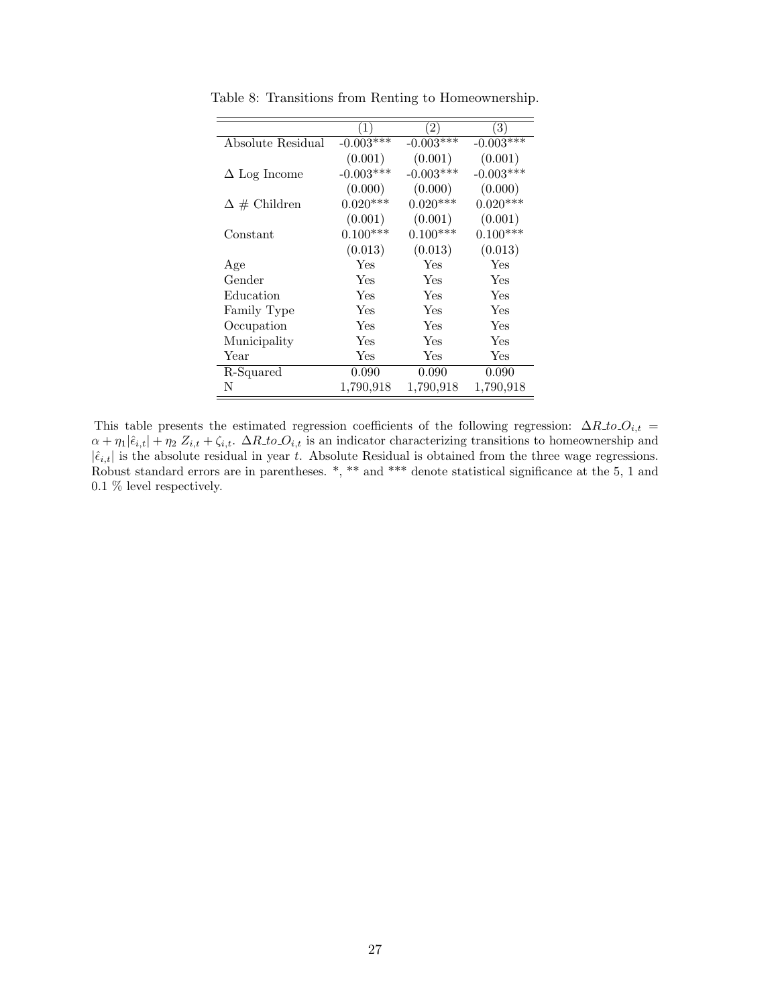|                      | 1)          | $\left( 2\right)$ | $\left( 3\right)$ |
|----------------------|-------------|-------------------|-------------------|
| Absolute Residual    | $-0.003***$ | $-0.003***$       | $-0.003***$       |
|                      | (0.001)     | (0.001)           | (0.001)           |
| $\Delta$ Log Income  | $-0.003***$ | $-0.003***$       | $-0.003***$       |
|                      | (0.000)     | (0.000)           | (0.000)           |
| $\Delta \#$ Children | $0.020***$  | $0.020***$        | $0.020***$        |
|                      | (0.001)     | (0.001)           | (0.001)           |
| Constant             | $0.100***$  | $0.100***$        | $0.100***$        |
|                      | (0.013)     | (0.013)           | (0.013)           |
| Age                  | Yes         | Yes               | Yes               |
| Gender               | Yes         | Yes               | Yes               |
| Education            | Yes         | Yes               | Yes               |
| Family Type          | Yes         | Yes               | Yes               |
| Occupation           | Yes         | Yes               | Yes               |
| Municipality         | Yes         | Yes               | Yes               |
| Year                 | Yes         | Yes               | Yes               |
| R-Squared            | 0.090       | 0.090             | 0.090             |
| N                    | 1,790,918   | 1,790,918         | 1,790,918         |

Table 8: Transitions from Renting to Homeownership.

This table presents the estimated regression coefficients of the following regression:  $\Delta R_{\perp}to O_{i,t}$  =  $\alpha + \eta_1|\hat{\epsilon}_{i,t}| + \eta_2 Z_{i,t} + \zeta_{i,t}$ .  $\Delta R \text{ to } Q_{i,t}$  is an indicator characterizing transitions to homeownership and  $|\hat{\epsilon}_{i,t}|$  is the absolute residual in year t. Absolute Residual is obtained from the three wage regressions. Robust standard errors are in parentheses. \*, \*\* and \*\*\* denote statistical significance at the 5, 1 and 0.1 % level respectively.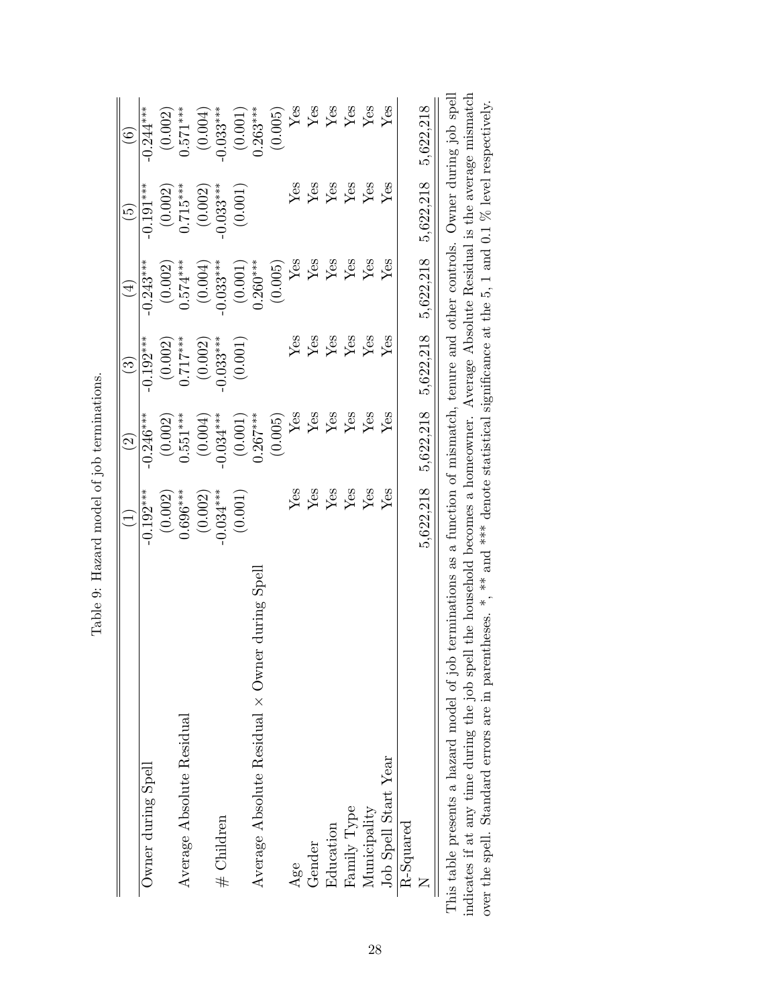|                                                                                                                                   | $\widehat{\Xi}$          | $\widehat{c}$           | $\odot$                     | $(\pm)$                          | $\widetilde{5}$              | $\overline{6}$          |
|-----------------------------------------------------------------------------------------------------------------------------------|--------------------------|-------------------------|-----------------------------|----------------------------------|------------------------------|-------------------------|
| Jwner during Spell                                                                                                                | $-0.192***$              | $-0.246***$             | $-0.192***$                 | $-0.243***$                      | $-0.191***$                  | $-0.244***$             |
|                                                                                                                                   | (0.002)                  | (0.002)                 |                             | (0.002)                          | (0.002)                      | (0.002)                 |
| Average Absolute Residual                                                                                                         | $0.696***$               | $0.551***$              | $(0.002)$<br>0.717***       | $0.574***$                       | $0.715***$                   | $0.571***$              |
|                                                                                                                                   | (0.002)                  | (0.004)                 | (0.002)                     | (0.004)                          | (0.002)                      | (0.004)                 |
| # Children                                                                                                                        | $0.034***$               | $-0.034***$             | $0.033***$                  | $-0.033***$                      | $0.033***$                   | $-0.033***$             |
|                                                                                                                                   | (0.001)                  | (0.001)                 | (0.001)                     | (0.001)                          | (0.001)                      | (0.001)                 |
| Average Absolute Residual $\times$ Owner during Spell                                                                             |                          | $0.267***$              |                             | $0.260***$                       |                              | $0.263***$              |
|                                                                                                                                   |                          | (0.005)                 |                             | (0.005)                          |                              | (0.005)                 |
| Age                                                                                                                               | ${\rm Yes}$              | Yes                     | Yes                         | Yes                              | Yes                          | Yes                     |
| Gender                                                                                                                            | ${\rm Yes}$              | Yes                     | $\mathbf{Yes}$              | Yes                              | Yes                          | $\mathbf{Y}\mathbf{es}$ |
| Education                                                                                                                         | $\mathbf{Y}_{\text{eS}}$ | ${\rm Yes}$             | $\ensuremath{\mathrm{Yes}}$ | Yes                              | Yes                          | ${\rm Yes}$             |
| Family Type                                                                                                                       | Yes                      | Yes                     | $\rm Yes$                   | $\mathbf{Y}\mathbf{es}$          | $Y_{\rm \small \textsf{ES}}$ | $Yes$<br>$Yes$          |
| Municipality                                                                                                                      | Yes                      | $\mathbf{Y}\mathbf{es}$ | $\operatorname{Yes}$        | $\mathbf{Y}\mathbf{e}\mathbf{s}$ | $\rm Yes$                    |                         |
| Job Spell Start Year                                                                                                              | Yes                      | Yes                     | Yes                         | Yes                              | Yes                          | Yes                     |
| $R-Squared$                                                                                                                       |                          |                         |                             |                                  |                              |                         |
|                                                                                                                                   | 5,622,218                | 5,622,218               | 5,622,218                   | 5,622,218                        | 5,622,218                    | 5,622,218               |
| is table presents a hazard model of job terminations as a function of mismatch, tenure and other controls. Owner during job spell |                          |                         |                             |                                  |                              |                         |

Table 9: Hazard model of job terminations. Table 9: Hazard model of job terminations.

indicates if at any time during the job spell the household becomes a homeowner. Average Absolute Residual is the average mismatch over the spell. Standard errors are in parentheses. \*, \*\* and \*\*\* denote statistical signi This table presents a hazard model of job terminations as a function of mismatch, tenure and other controls. Owner during job spell indicates if at any time during the job spell the household becomes a homeowner. Average Absolute Residual is the average mismatch over the spell. Standard errors are in parentheses. \*, \*\* and \*\*\* denote statistical significance at the 5, 1 and 0.1 % level respectively. Ē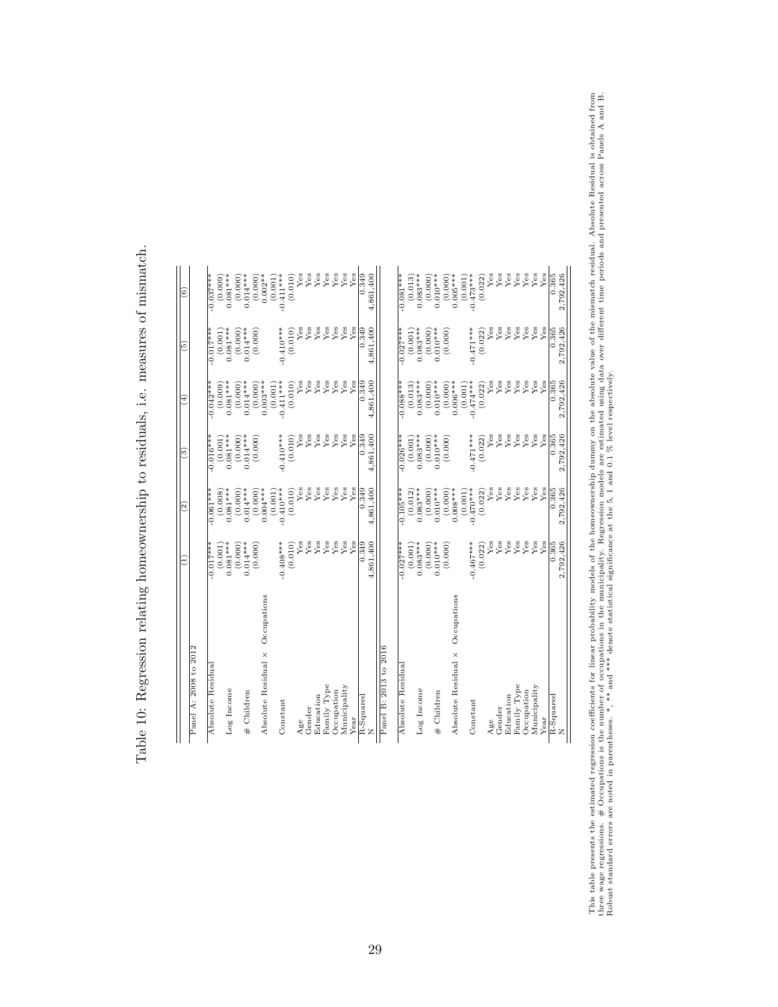| く くらしゃくら せん じんきょう<br>ׇ֚<br>ׇ֚֡<br>l<br>.<br>.<br>.<br>.<br>.<br>.<br>.<br>.                                                                                                                                                                                                                                                               |
|-------------------------------------------------------------------------------------------------------------------------------------------------------------------------------------------------------------------------------------------------------------------------------------------------------------------------------------------|
| ֘֒<br>;<br>;                                                                                                                                                                                                                                                                                                                              |
| ひこくじょう うくら しょうしょう<br>Ś<br>ï<br>j<br>ׇ֚֘֡                                                                                                                                                                                                                                                                                                  |
|                                                                                                                                                                                                                                                                                                                                           |
| l<br>i<br>こしきく くちをとく くくらく くうこく<br>j<br>1<br>j<br>:<br>:<br>;<br>;<br>;<br>ĺ.                                                                                                                                                                                                                                                              |
| J<br>j                                                                                                                                                                                                                                                                                                                                    |
| ֚֘֝֬<br>ׇ֚֘֡<br>ׇ֚֓                                                                                                                                                                                                                                                                                                                       |
| contractors are contracted as a contract of the contract of the contract of the contract of the contract of the contract of the contract of the contract of the contract of the contract of the contract of the contract of th<br>l<br>֧֧֧ׅ֧֧֧֦֧֦֧֦֧֦֧֧֦֧֧֦֧֧֧֦֧֦֧֧֧֪֧֦֧֚֚֚֚֚֚֚֚֚֚֚֚֚֚֚֚֚֚֚֚֚֚֚֚֚֚֚֚֝֝֘֜֓֟֓֝֓֝֓֝֓֜֜֝֬֝֝֝֬֝<br>١<br>I<br>I |
| ì                                                                                                                                                                                                                                                                                                                                         |
| $\frac{1}{2}$<br>'<br>'<br>I                                                                                                                                                                                                                                                                                                              |

| Panel A: 2008 to 2012              |                |                        |             |                        |                   |                        |
|------------------------------------|----------------|------------------------|-------------|------------------------|-------------------|------------------------|
|                                    |                |                        |             |                        |                   |                        |
| Absolute Residual                  | $-0.017***$    | $-0.061***$            | $-0.016***$ | $-0.042***$            | $-0.017***$       | $-0.037***$            |
|                                    | (0.001)        | (0.008)                | (0.001)     | (0.009)                | (0.001)           | (0.009)                |
| Log Income                         | $0.081***$     | $0.081***$             | $0.081***$  | $0.081***$             | $0.081***$        | $0.081***$             |
|                                    | (0.000)        | (0.000)                | (0.000)     | (0.000)                | (0.000)           | (0.000)                |
| # Children                         | $0.014***$     | $0.014***$             | $0.014***$  | $0.014***$             | $0.014***$        | $0.014***$             |
|                                    | (0.000)        | (0.000)                | (0.000)     | (0.000)                | (0.000)           | (0.000)                |
| Occupations<br>Absolute Residual X |                | $0.004***$             |             | $0.003***$             |                   | $0.002**$              |
| Constant                           | $-0.408***$    | $-0.410***$<br>(0.001) | $-0.410***$ | $-0.411***$<br>(0.001) | $-0.410***$       | $-0.411***$<br>(0.001) |
|                                    | (0.010)        | (0.010)                | (0.010)     | (0.010)                | (0.010)           | (0.010)                |
| Age                                | $\mathbf{Yes}$ | $Y$ es                 | Yes         | Yes                    | $Y$ es            | Yes                    |
| Gender                             | Yes            | $Y$ es                 | $Y$ es      | Yes                    | ${\rm \dot{Y}es}$ | $Y$ es                 |
| Education                          | Yes            | Yes                    | Yes         | Yes                    | Yes               | Yes                    |
| Family Type                        | Yes            | $Y$ es                 | $Y$ es      | Yes                    | Yes               | $Y$ es                 |
| Occupation                         | Yes            | Yes                    | Yes         | Yes                    | Yes               | $Y$ es                 |
| Municipality                       | Yes            | $Y$ es                 | $Y$ es      | Yes                    | Yes               | $Y$ es                 |
| Year                               | Yes            | Yes                    | Yes         | Yes                    | Yes               | Yes                    |
| R-Squared                          | 0.349          | 0.349                  | 0.349       | 0.349                  | 0.349             | 0.349                  |
| Z                                  | 4,861,400      | 4,861,400              | 4,861,400   | 4,861,400              | 4.861.400         | 4.861.400              |
| Panel B: 2013 to 2016              |                |                        |             |                        |                   |                        |
| Absolute Residual                  | $-0.027***$    | $-0.105***$            | $-0.026***$ | $-0.088***$            | $-0.027***$       | $-0.081***$            |
|                                    | (0.001)        | (0.012)                | (0.001)     | (0.013)                | (0.001)           | (0.013)                |
| Log Income                         | $0.083***$     | $0.083***$             | $0.083***$  | $0.083***$             | $0.083***$        | $0.083***$             |
|                                    | (0.000)        | (0.000)                | (0.000)     | (0.000)                | (0.000)           | (0.000)                |
| # Children                         | $0.010***$     | $0.010***$             | $0.010***$  | $0.010***$             | $0.010***$        | $0.010***$             |
|                                    | (0.000)        | (0.000)                | (0.000)     | (0.000)                | (0.000)           | (0.000)                |
| Occupations<br>Absolute Residual X |                | $0.008***$<br>(0.001)  |             | $0.006***$<br>(0.001)  |                   | $0.005***$<br>(0.001)  |
| Constant                           | $-0.467***$    | $-0.470**$             | $-0.471***$ | $-0.474***$            | $-0.471***$       | $-0.473***$            |
|                                    | (0.022)        | (0.022)                | (0.022)     | (0.022)                | (0.022)           | (0.022)                |
| Age                                | Yes            | Yes                    | Yes         | Yes                    | Yes               | Yes                    |
| Gender                             | Yes            | Yes                    | $Y$ es      | Yes                    | $Y$ es            | ${\rm Yes}$            |
| Education                          | Yes            | Yes                    | Yes         | Yes                    | Yes               | Yes                    |
| Family Type                        | Yes            | $Y$ es                 | $Y$ es      | $Y$ es                 | Yes               | Yes                    |
| Occupation                         | Yes            | Yes                    | Yes         | Yes                    | Yes               | Yes                    |
| Municipality                       | Yes            | Yes                    | Yes         | Yes                    | Yes               | Yes                    |
| Year                               | Yes            | Yes                    | $Y$ es      | Yes                    | Yes               | Yes                    |
| R-Squared                          | 0.365          | 0.365                  | 0.365       | 0.365                  | 0.365             | 0.365                  |
|                                    | 2,792,426      | 2,792,426              | 2,792,426   | 2.792.426              | 2.792.426         | 2,792,426              |

This table presents the estimated regression coefficients for linear probability models of the homeownership dummy on the absolute value of the mismatch residual. Absolute Residual is obtained from three wage regressions. This table presents the estimated regression coefficients for linear probability models of the homeownership dummy on the absolute value of the mismatch residual. Absolute Residual is obtained from three wage regressions.  $\#$  Occupations is the number of occupations in the municipality. Regression models are estimated using data over different time periods and presented across Panels A and B. Robust standard errors are noted in parentheses. \*, \*\* and \*\*\* denote statistical significance at the 5, 1 and 0.1 % level respectively.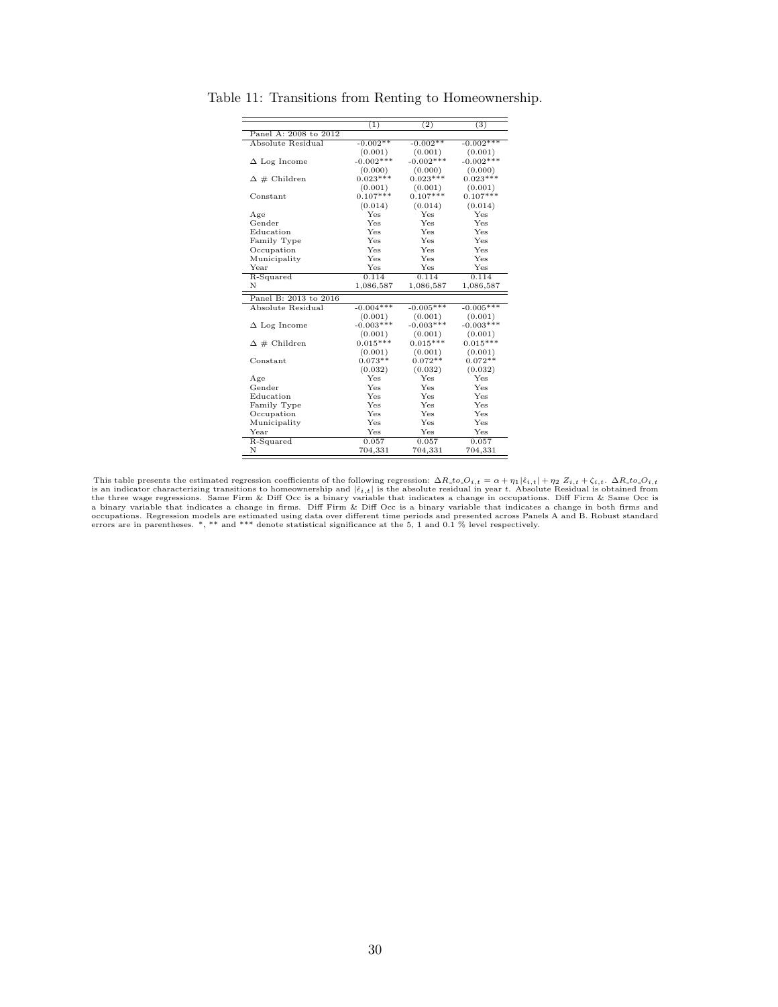|                       | (1)         | (2)         | $\overline{3}$ |
|-----------------------|-------------|-------------|----------------|
| Panel A: 2008 to 2012 |             |             |                |
| Absolute Residual     | $-0.002**$  | $-0.002**$  | $-0.002***$    |
|                       | (0.001)     | (0.001)     | (0.001)        |
| $\Delta$ Log Income   | $-0.002***$ | $-0.002***$ | $-0.002***$    |
|                       | (0.000)     | (0.000)     | (0.000)        |
| $\Delta \#$ Children  | $0.023***$  | $0.023***$  | $0.023***$     |
|                       | (0.001)     | (0.001)     | (0.001)        |
| $Constant$            | $0.107***$  | $0.107***$  | $0.107***$     |
|                       | (0.014)     | (0.014)     | (0.014)        |
| Age                   | Yes         | Yes         | Yes            |
| Gender                | Yes         | Yes         | Yes            |
| Education             | Yes         | Yes         | Yes            |
| Family Type           | Yes         | Yes         | Yes            |
| Occupation            | Yes         | Yes         | Yes            |
| Municipality          | Yes         | Yes         | Yes            |
| Year                  | Yes         | Yes         | Yes            |
| R-Squared             | 0.114       | 0.114       | 0.114          |
| N                     | 1,086,587   | 1,086,587   | 1,086,587      |
| Panel B: 2013 to 2016 |             |             |                |
| Absolute Residual     | $-0.004***$ | $-0.005***$ | $-0.005***$    |
|                       | (0.001)     | (0.001)     | (0.001)        |
| $\Delta$ Log Income   | $-0.003***$ | $-0.003***$ | $-0.003***$    |
|                       | (0.001)     | (0.001)     | (0.001)        |
| $\Delta \#$ Children  | $0.015***$  | $0.015***$  | $0.015***$     |
|                       | (0.001)     | (0.001)     | (0.001)        |
| Constant              | $0.073**$   | $0.072**$   | $0.072**$      |
|                       | (0.032)     | (0.032)     | (0.032)        |
| Age                   | Yes         | Yes         | Yes            |
| Gender                | Yes         | Yes         | Yes            |
| Education             | Yes         | Yes         | Yes            |
| Family Type           | Yes         | Yes         | Yes            |
| Occupation            | Yes         | Yes         | Yes            |
| Municipality          | Yes         | Yes         | Yes            |
| Year                  | Yes         | Yes         | Yes            |
| R-Squared             | 0.057       | 0.057       | 0.057          |
| N                     | 704,331     | 704,331     | 704,331        |

Table 11: Transitions from Renting to Homeownership.

This table presents the estimated regression coefficients of the following regression:  $\Delta R_to O_{i,t} = \alpha + \eta_1 | \hat{\epsilon}_{i,t} | + \eta_2 Z_{i,t} + \zeta_{i,t}$ .  $\Delta R_to O_{i,t}$ <br>is an indicator characterizing transitions to homeownership and  $|\hat{\epsilon}_{i,t}|$ occupations. Regression models are estimated using data over different time periods and presented across Panels A and B. Robust standard<br>errors are in parentheses. \*, \*\* and \*\*\* denote statistical significance at the 5, 1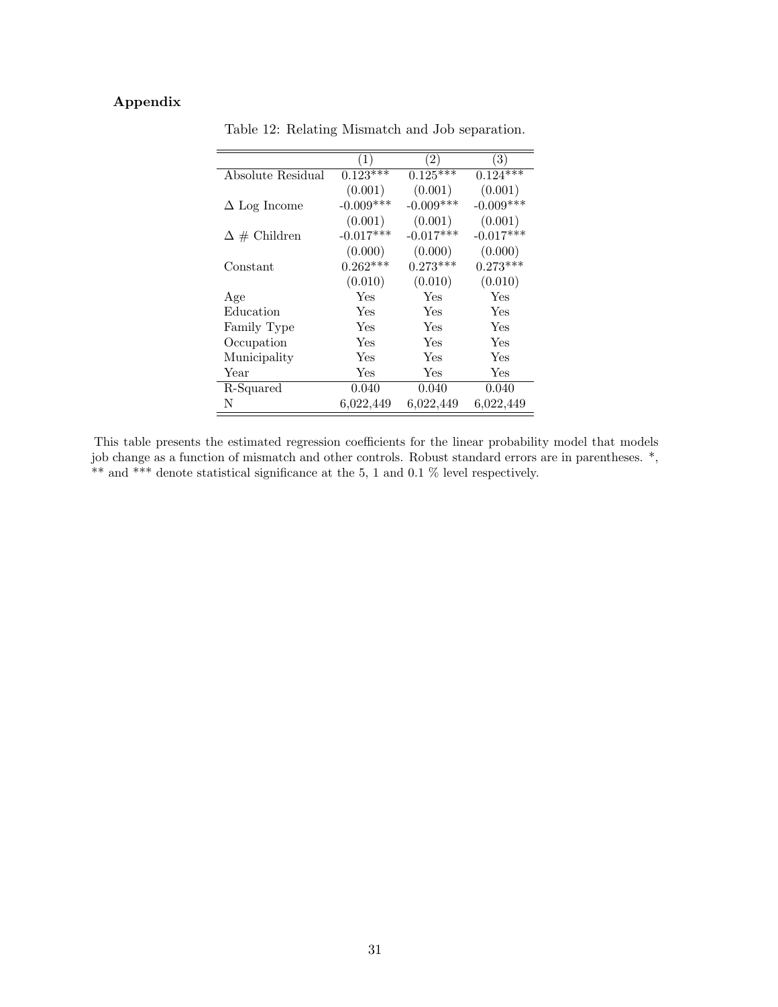## Appendix

|                      | $\left(1\right)$ | $\left( 2\right)$ | $\left( 3\right)$ |
|----------------------|------------------|-------------------|-------------------|
| Absolute Residual    | $0.123***$       | $0.125***$        | $0.124***$        |
|                      | (0.001)          | (0.001)           | (0.001)           |
| $\Delta$ Log Income  | $-0.009***$      | $-0.009***$       | $-0.009***$       |
|                      | (0.001)          | (0.001)           | (0.001)           |
| $\Delta \#$ Children | $-0.017***$      | $-0.017***$       | $-0.017***$       |
|                      | (0.000)          | (0.000)           | (0.000)           |
| Constant             | $0.262***$       | $0.273***$        | $0.273***$        |
|                      | (0.010)          | (0.010)           | (0.010)           |
| Age                  | Yes              | Yes               | Yes               |
| Education            | Yes              | Yes               | Yes               |
| Family Type          | Yes              | Yes               | Yes               |
| Occupation           | Yes              | Yes               | Yes               |
| Municipality         | Yes              | Yes               | Yes               |
| Year                 | Yes              | Yes               | Yes               |
| R-Squared            | 0.040            | 0.040             | 0.040             |
| N                    | 6,022,449        | 6,022,449         | 6,022,449         |

Table 12: Relating Mismatch and Job separation.

This table presents the estimated regression coefficients for the linear probability model that models job change as a function of mismatch and other controls. Robust standard errors are in parentheses. \*, \*\* and \*\*\* denote statistical significance at the 5, 1 and 0.1 % level respectively.